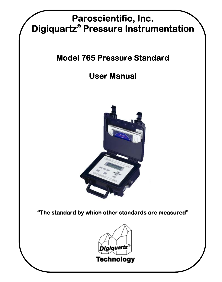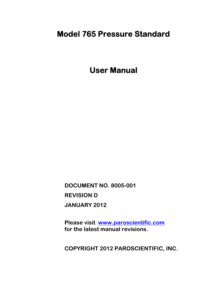# **Model 765 Pressure Standard**

**User Manual** 

**DOCUMENT NO. 8005-001 REVISION D JANUARY 2012** 

**Please visit [www.paroscientific.com](http://www.paroscientific.com/)  for the latest manual revisions.** 

**COPYRIGHT 2012 PAROSCIENTIFIC, INC.**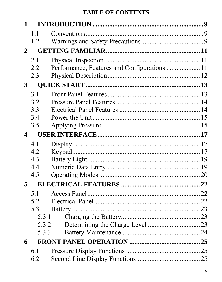| $\mathbf{1}$ |       |                                              |  |
|--------------|-------|----------------------------------------------|--|
|              | 11    |                                              |  |
|              | 1.2   |                                              |  |
| $\mathbf{2}$ |       |                                              |  |
|              | 2.1   |                                              |  |
|              | 2.2   | Performance, Features and Configurations  11 |  |
|              | 2.3   |                                              |  |
| $\mathbf{3}$ |       |                                              |  |
|              | 3.1   |                                              |  |
|              | 3.2   |                                              |  |
|              | 3.3   |                                              |  |
|              | 3.4   |                                              |  |
|              | 3.5   |                                              |  |
| 4            |       |                                              |  |
|              | 4.1   |                                              |  |
|              | 4.2   |                                              |  |
|              | 4.3   |                                              |  |
|              | 4.4   |                                              |  |
|              | 4.5   |                                              |  |
| 5            |       |                                              |  |
|              | 51    |                                              |  |
|              | 5.2   |                                              |  |
|              | 5.3   |                                              |  |
|              | 5.3.1 |                                              |  |
|              | 5.3.2 |                                              |  |
|              | 5.3.3 |                                              |  |
| 6            |       |                                              |  |
|              | 6.1   |                                              |  |
|              | 6.2   |                                              |  |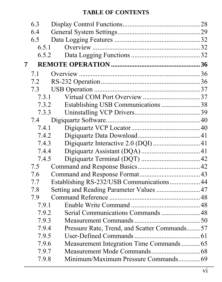|       | 6.3   |                                              |  |
|-------|-------|----------------------------------------------|--|
|       | 6.4   |                                              |  |
|       | 6.5   |                                              |  |
|       | 6.5.1 |                                              |  |
| 6.5.2 |       |                                              |  |
| 7     |       |                                              |  |
|       | 7.1   |                                              |  |
|       | 7.2   |                                              |  |
|       | 7.3   |                                              |  |
|       | 7.3.1 |                                              |  |
|       | 7.3.2 | Establishing USB Communications 38           |  |
|       | 7.3.3 |                                              |  |
|       | 7.4   |                                              |  |
|       | 7.4.1 |                                              |  |
|       | 7.4.2 |                                              |  |
|       | 7.4.3 |                                              |  |
|       | 7.4.4 |                                              |  |
|       | 7.4.5 |                                              |  |
|       | 7.5   |                                              |  |
|       | 7.6   |                                              |  |
|       | 7.7   | Establishing RS-232/USB Communications 44    |  |
|       | 7.8   | Setting and Reading Parameter Values  47     |  |
|       | 7.9   |                                              |  |
|       | 7.9.1 |                                              |  |
|       | 7.9.2 | Serial Communications Commands  48           |  |
|       | 7.9.3 |                                              |  |
|       | 7.9.4 | Pressure Rate, Trend, and Scatter Commands57 |  |
|       | 7.9.5 |                                              |  |
|       | 7.9.6 |                                              |  |
|       | 7.9.7 |                                              |  |
|       | 7.9.8 | Minimum/Maximum Pressure Commands69          |  |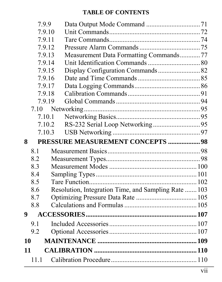|    | 7.9.9  |                                                      |  |
|----|--------|------------------------------------------------------|--|
|    | 7.9.10 |                                                      |  |
|    | 7.9.11 |                                                      |  |
|    | 7.9.12 |                                                      |  |
|    | 7.9.13 | Measurement Data Formatting Commands77               |  |
|    | 7.9.14 |                                                      |  |
|    | 7.9.15 | Display Configuration Commands 82                    |  |
|    | 7.9.16 |                                                      |  |
|    | 7.9.17 |                                                      |  |
|    | 7.9.18 |                                                      |  |
|    | 7.9.19 |                                                      |  |
|    | 7.10   |                                                      |  |
|    | 7.10.1 |                                                      |  |
|    | 7.10.2 |                                                      |  |
|    | 7.10.3 |                                                      |  |
| 8  |        |                                                      |  |
|    |        | PRESSURE MEASUREMENT CONCEPTS  98                    |  |
|    | 8.1    |                                                      |  |
|    | 8.2    |                                                      |  |
|    | 8.3    |                                                      |  |
|    | 8.4    |                                                      |  |
|    | 8.5    |                                                      |  |
|    | 8.6    | Resolution, Integration Time, and Sampling Rate  103 |  |
|    | 8.7    |                                                      |  |
|    | 8.8    |                                                      |  |
| 9  |        |                                                      |  |
|    | 9.1    |                                                      |  |
|    | 9.2    |                                                      |  |
| 10 |        |                                                      |  |
| 11 |        |                                                      |  |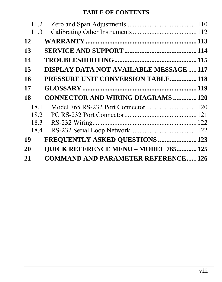| 11.2 |                                             |  |
|------|---------------------------------------------|--|
| 11.3 |                                             |  |
| 12   |                                             |  |
| 13   |                                             |  |
| 14   |                                             |  |
| 15   | DISPLAY DATA NOT AVAILABLE MESSAGE 117      |  |
| 16   | <b>PRESSURE UNIT CONVERSION TABLE 118</b>   |  |
| 17   |                                             |  |
| 18   | <b>CONNECTOR AND WIRING DIAGRAMS  120</b>   |  |
| 18.1 |                                             |  |
| 18.2 |                                             |  |
| 18.3 |                                             |  |
| 18.4 |                                             |  |
| 19   | FREQUENTLY ASKED QUESTIONS  123             |  |
| 20   | <b>OUICK REFERENCE MENU - MODEL 765 125</b> |  |
| 21   | <b>COMMAND AND PARAMETER REFERENCE126</b>   |  |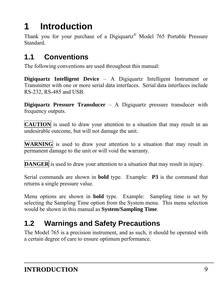# <span id="page-8-0"></span>**1 Introduction**

Thank you for your purchase of a Digiquartz® Model 765 Portable Pressure Standard.

# <span id="page-8-1"></span>**1.1 Conventions**

The following conventions are used throughout this manual:

**Digiquartz Intelligent Device** – A Digiquartz Intelligent Instrument or Transmitter with one or more serial data interfaces. Serial data interfaces include RS-232, RS-485 and USB.

**Digiquartz Pressure Transducer** – A Digiquartz pressure transducer with frequency outputs.

**CAUTION** is used to draw your attention to a situation that may result in an undesirable outcome, but will not damage the unit.

**WARNING** is used to draw your attention to a situation that may result in permanent damage to the unit or will void the warranty.

**DANGER** is used to draw your attention to a situation that may result in injury.

Serial commands are shown in **bold** type. Example: **P3** is the command that returns a single pressure value.

Menu options are shown in **bold** type. Example: Sampling time is set by selecting the Sampling Time option from the System menu. This menu selection would be shown in this manual as **System/Sampling Time**.

# <span id="page-8-2"></span>**1.2 Warnings and Safety Precautions**

The Model 765 is a precision instrument, and as such, it should be operated with a certain degree of care to ensure optimum performance.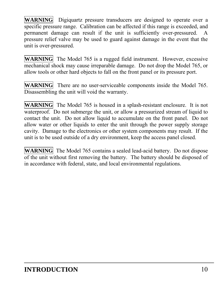**WARNING** Digiquartz pressure transducers are designed to operate over a specific pressure range. Calibration can be affected if this range is exceeded, and permanent damage can result if the unit is sufficiently over-pressured. A pressure relief valve may be used to guard against damage in the event that the unit is over-pressured.

**WARNING** The Model 765 is a rugged field instrument. However, excessive mechanical shock may cause irreparable damage. Do not drop the Model 765, or allow tools or other hard objects to fall on the front panel or its pressure port.

**WARNING** There are no user-serviceable components inside the Model 765. Disassembling the unit will void the warranty.

**WARNING** The Model 765 is housed in a splash-resistant enclosure. It is not waterproof. Do not submerge the unit, or allow a pressurized stream of liquid to contact the unit. Do not allow liquid to accumulate on the front panel. Do not allow water or other liquids to enter the unit through the power supply storage cavity. Damage to the electronics or other system components may result. If the unit is to be used outside of a dry environment, keep the access panel closed.

**WARNING** The Model 765 contains a sealed lead-acid battery. Do not dispose of the unit without first removing the battery. The battery should be disposed of in accordance with federal, state, and local environmental regulations.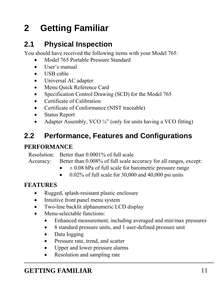# <span id="page-10-0"></span>**2 Getting Familiar**

# <span id="page-10-1"></span>**2.1 Physical Inspection**

You should have received the following items with your Model 765:

- Model 765 Portable Pressure Standard
- User's manual
- USB cable
- Universal AC adapter
- Menu Quick Reference Card
- Specification Control Drawing (SCD) for the Model 765
- Certificate of Calibration
- Certificate of Conformance (NIST traceable)
- Status Report
- Adapter Assembly, VCO  $\frac{1}{4}$ " (only for units having a VCO fitting)

# <span id="page-10-2"></span>**2.2 Performance, Features and Configurations**

### **PERFORMANCE**

Resolution: Better than 0.0001% of full scale

Accuracy: Better than  $0.008\%$  of full scale accuracy for all ranges, except:

- $\bullet$   $\pm$  0.08 hPa of full scale for barometric pressure range
- $\bullet$  0.02% of full scale for 30,000 and 40,000 psi units

#### **FEATURES**

- Rugged, splash-resistant plastic enclosure
- Intuitive front panel menu system
- Two-line backlit alphanumeric LCD display
- Menu-selectable functions:
	- Enhanced measurement, including averaged and min/max pressures
	- 8 standard pressure units, and 1 user-defined pressure unit
	- Data logging
	- Pressure rate, trend, and scatter
	- Upper and lower pressure alarms
	- Resolution and sampling rate

# **GETTING FAMILIAR** 11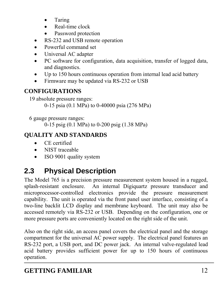- Taring
- Real-time clock
- Password protection
- RS-232 and USB remote operation
- Powerful command set
- Universal AC adapter
- PC software for configuration, data acquisition, transfer of logged data, and diagnostics.
- Up to 150 hours continuous operation from internal lead acid battery
- Firmware may be updated via RS-232 or USB

# **CONFIGURATIONS**

19 absolute pressure ranges:

0-15 psia (0.1 MPa) to 0-40000 psia (276 MPa)

6 gauge pressure ranges:

0-15 psig (0.1 MPa) to 0-200 psig (1.38 MPa)

# **QUALITY AND STANDARDS**

- CE certified
- NIST traceable
- ISO 9001 quality system

# <span id="page-11-0"></span>**2.3 Physical Description**

The Model 765 is a precision pressure measurement system housed in a rugged, splash-resistant enclosure. An internal Digiquartz pressure transducer and microprocessor-controlled electronics provide the pressure measurement capability. The unit is operated via the front panel user interface, consisting of a two-line backlit LCD display and membrane keyboard. The unit may also be accessed remotely via RS-232 or USB. Depending on the configuration, one or more pressure ports are conveniently located on the right side of the unit.

Also on the right side, an access panel covers the electrical panel and the storage compartment for the universal AC power supply. The electrical panel features an RS-232 port, a USB port, and DC power jack. An internal valve-regulated lead acid battery provides sufficient power for up to 150 hours of continuous operation.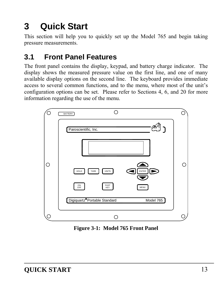# <span id="page-12-0"></span>**3 Quick Start**

This section will help you to quickly set up the Model 765 and begin taking pressure measurements.

# <span id="page-12-1"></span>**3.1 Front Panel Features**

The front panel contains the display, keypad, and battery charge indicator. The display shows the measured pressure value on the first line, and one of many available display options on the second line. The keyboard provides immediate access to several common functions, and to the menu, where most of the unit's configuration options can be set. Please refer to Sections [4,](#page-16-0) [6](#page-24-0), and [20](#page-124-0) for more information regarding the use of the menu.



**Figure 3-1: Model 765 Front Panel**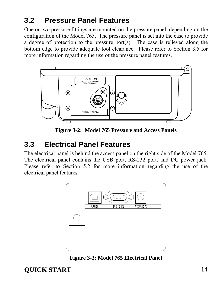# <span id="page-13-0"></span>**3.2 Pressure Panel Features**

One or two pressure fittings are mounted on the pressure panel, depending on the configuration of the Model 765. The pressure panel is set into the case to provide a degree of protection to the pressure port $(s)$ . The case is relieved along the bottom edge to provide adequate tool clearance. Please refer to Section [3.5](#page-14-1) for more information regarding the use of the pressure panel features.



**Figure 3-2: Model 765 Pressure and Access Panels** 

# <span id="page-13-1"></span>**3.3 Electrical Panel Features**

The electrical panel is behind the access panel on the right side of the Model 765. The electrical panel contains the USB port, RS-232 port, and DC power jack. Please refer to Section [5.2](#page-21-2) for more information regarding the use of the electrical panel features.



**Figure 3-3: Model 765 Electrical Panel**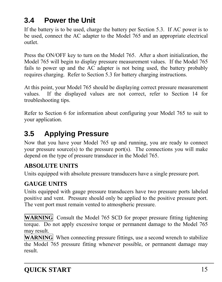# <span id="page-14-0"></span>**3.4 Power the Unit**

If the battery is to be used, charge the battery per Section [5.3](#page-22-0). If AC power is to be used, connect the AC adapter to the Model 765 and an appropriate electrical outlet.

Press the ON/OFF key to turn on the Model 765. After a short initialization, the Model 765 will begin to display pressure measurement values. If the Model 765 fails to power up and the AC adapter is not being used, the battery probably requires charging. Refer to Section [5.3](#page-22-0) for battery charging instructions.

At this point, your Model 765 should be displaying correct pressure measurement values. If the displayed values are not correct, refer to Section [14](#page-114-0) for troubleshooting tips.

Refer to Section [6](#page-24-0) for information about configuring your Model 765 to suit to your application.

# <span id="page-14-1"></span>**3.5 Applying Pressure**

Now that you have your Model 765 up and running, you are ready to connect your pressure source(s) to the pressure port(s). The connections you will make depend on the type of pressure transducer in the Model 765.

### **ABSOLUTE UNITS**

Units equipped with absolute pressure transducers have a single pressure port.

# **GAUGE UNITS**

Units equipped with gauge pressure transducers have two pressure ports labeled positive and vent. Pressure should only be applied to the positive pressure port. The vent port must remain vented to atmospheric pressure.

**WARNING** Consult the Model 765 SCD for proper pressure fitting tightening torque. Do not apply excessive torque or permanent damage to the Model 765 may result.

**WARNING** When connecting pressure fittings, use a second wrench to stabilize the Model 765 pressure fitting whenever possible, or permanent damage may result.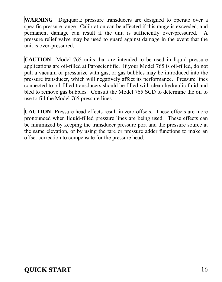**WARNING** Digiquartz pressure transducers are designed to operate over a specific pressure range. Calibration can be affected if this range is exceeded, and permanent damage can result if the unit is sufficiently over-pressured. A pressure relief valve may be used to guard against damage in the event that the unit is over-pressured.

**CAUTION** Model 765 units that are intended to be used in liquid pressure applications are oil-filled at Paroscientific. If your Model 765 is oil-filled, do not pull a vacuum or pressurize with gas, or gas bubbles may be introduced into the pressure transducer, which will negatively affect its performance. Pressure lines connected to oil-filled transducers should be filled with clean hydraulic fluid and bled to remove gas bubbles. Consult the Model 765 SCD to determine the oil to use to fill the Model 765 pressure lines.

**CAUTION** Pressure head effects result in zero offsets. These effects are more pronounced when liquid-filled pressure lines are being used. These effects can be minimized by keeping the transducer pressure port and the pressure source at the same elevation, or by using the tare or pressure adder functions to make an offset correction to compensate for the pressure head.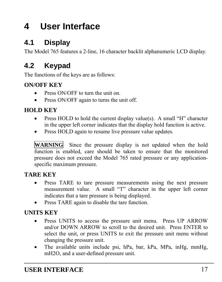# <span id="page-16-0"></span>**4 User Interface**

# <span id="page-16-1"></span>**4.1 Display**

The Model 765 features a 2-line, 16 character backlit alphanumeric LCD display.

# <span id="page-16-2"></span>**4.2 Keypad**

The functions of the keys are as follows:

### **ON/OFF KEY**

- Press ON/OFF to turn the unit on.
- Press ON/OFF again to turns the unit off.

# **HOLD KEY**

- Press HOLD to hold the current display value(s). A small "H" character in the upper left corner indicates that the display hold function is active.
- Press HOLD again to resume live pressure value updates.

**WARNING** Since the pressure display is not updated when the hold function is enabled, care should be taken to ensure that the monitored pressure does not exceed the Model 765 rated pressure or any applicationspecific maximum pressure.

### **TARE KEY**

- Press TARE to tare pressure measurements using the next pressure measurement value. A small "T" character in the upper left corner indicates that a tare pressure is being displayed.
- Press TARE again to disable the tare function.

### **UNITS KEY**

- Press UNITS to access the pressure unit menu. Press UP ARROW and/or DOWN ARROW to scroll to the desired unit. Press ENTER to select the unit, or press UNITS to exit the pressure unit menu without changing the pressure unit.
- The available units include psi, hPa, bar, kPa, MPa, inHg, mmHg, mH2O, and a user-defined pressure unit.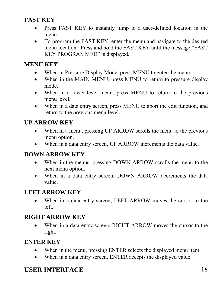#### **FAST KEY**

- Press FAST KEY to instantly jump to a user-defined location in the menu
- To program the FAST KEY, enter the menu and navigate to the desired menu location. Press and hold the FAST KEY until the message "FAST KEY PROGRAMMED" is displayed.

#### **MENU KEY**

- When in Pressure Display Mode, press MENU to enter the menu.
- When in the MAIN MENU, press MENU to return to pressure display mode.
- When in a lower-level menu, press MENU to return to the previous menu level.
- When in a data entry screen, press MENU to abort the edit function, and return to the previous menu level.

### **UP ARROW KEY**

- When in a menu, pressing UP ARROW scrolls the menu to the previous menu option.
- When in a data entry screen, UP ARROW increments the data value.

#### **DOWN ARROW KEY**

- When in the menus, pressing DOWN ARROW scrolls the menu to the next menu option.
- When in a data entry screen, DOWN ARROW decrements the data value.

### **LEFT ARROW KEY**

 When in a data entry screen, LEFT ARROW moves the cursor to the left.

#### **RIGHT ARROW KEY**

 When in a data entry screen, RIGHT ARROW moves the cursor to the right.

#### **ENTER KEY**

- When in the menu, pressing ENTER selects the displayed menu item.
- When in a data entry screen, ENTER accepts the displayed value.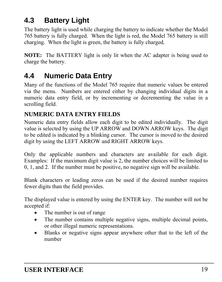# <span id="page-18-0"></span>**4.3 Battery Light**

The battery light is used while charging the battery to indicate whether the Model 765 battery is fully charged. When the light is red, the Model 765 battery is still charging. When the light is green, the battery is fully charged.

**NOTE:** The BATTERY light is only lit when the AC adapter is being used to charge the battery.

# <span id="page-18-1"></span>**4.4 Numeric Data Entry**

Many of the functions of the Model 765 require that numeric values be entered via the menu. Numbers are entered either by changing individual digits in a numeric data entry field, or by incrementing or decrementing the value in a scrolling field.

### **NUMERIC DATA ENTRY FIELDS**

Numeric data entry fields allow each digit to be edited individually. The digit value is selected by using the UP ARROW and DOWN ARROW keys. The digit to be edited is indicated by a blinking cursor. The cursor is moved to the desired digit by using the LEFT ARROW and RIGHT ARROW keys.

Only the applicable numbers and characters are available for each digit. Examples: If the maximum digit value is 2, the number choices will be limited to 0, 1, and 2. If the number must be positive, no negative sign will be available.

Blank characters or leading zeros can be used if the desired number requires fewer digits than the field provides.

The displayed value is entered by using the ENTER key. The number will not be accepted if:

- The number is out of range
- The number contains multiple negative signs, multiple decimal points, or other illegal numeric representations.
- Blanks or negative signs appear anywhere other that to the left of the number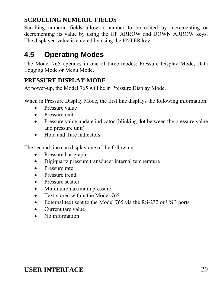### **SCROLLING NUMERIC FIELDS**

Scrolling numeric fields allow a number to be edited by incrementing or decrementing its value by using the UP ARROW and DOWN ARROW keys. The displayed value is entered by using the ENTER key.

# <span id="page-19-0"></span>**4.5 Operating Modes**

The Model 765 operates in one of three modes: Pressure Display Mode, Data Logging Mode or Menu Mode.

### **PRESSURE DISPLAY MODE**

At power-up, the Model 765 will be in Pressure Display Mode.

When in Pressure Display Mode, the first line displays the following information:

- **•** Pressure value
- Pressure unit
- Pressure value update indicator (blinking dot between the pressure value and pressure unit)
- Hold and Tare indicators

The second line can display one of the following:

- Pressure bar graph
- Digiquartz pressure transducer internal temperature
- Pressure rate
- Pressure trend
- Pressure scatter
- Minimum/maximum pressure
- Text stored within the Model 765
- External text sent to the Model 765 via the RS-232 or USB ports
- Current tare value
- No information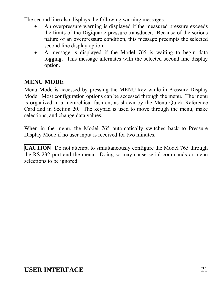The second line also displays the following warning messages.

- An overpressure warning is displayed if the measured pressure exceeds the limits of the Digiquartz pressure transducer. Because of the serious nature of an overpressure condition, this message preempts the selected second line display option.
- A message is displayed if the Model 765 is waiting to begin data logging. This message alternates with the selected second line display option.

#### **MENU MODE**

Menu Mode is accessed by pressing the MENU key while in Pressure Display Mode. Most configuration options can be accessed through the menu. The menu is organized in a hierarchical fashion, as shown by the Menu Quick Reference Card and in Section [20](#page-124-0). The keypad is used to move through the menu, make selections, and change data values.

When in the menu, the Model 765 automatically switches back to Pressure Display Mode if no user input is received for two minutes.

**CAUTION** Do not attempt to simultaneously configure the Model 765 through the RS-232 port and the menu. Doing so may cause serial commands or menu selections to be ignored.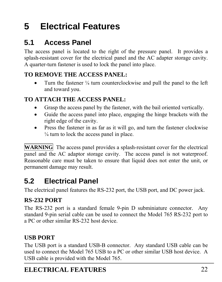# <span id="page-21-0"></span>**5 Electrical Features**

# <span id="page-21-1"></span>**5.1 Access Panel**

The access panel is located to the right of the pressure panel. It provides a splash-resistant cover for the electrical panel and the AC adapter storage cavity. A quarter-turn fastener is used to lock the panel into place.

### **TO REMOVE THE ACCESS PANEL:**

 Turn the fastener ¼ turn counterclockwise and pull the panel to the left and toward you.

### **TO ATTACH THE ACCESS PANEL:**

- Grasp the access panel by the fastener, with the bail oriented vertically.
- Guide the access panel into place, engaging the hinge brackets with the right edge of the cavity.
- Press the fastener in as far as it will go, and turn the fastener clockwise  $\frac{1}{4}$  turn to lock the access panel in place.

**WARNING** The access panel provides a splash-resistant cover for the electrical panel and the AC adaptor storage cavity. The access panel is not waterproof. Reasonable care must be taken to ensure that liquid does not enter the unit, or permanent damage may result.

# <span id="page-21-2"></span>**5.2 Electrical Panel**

The electrical panel features the RS-232 port, the USB port, and DC power jack.

### **RS-232 PORT**

The RS-232 port is a standard female 9-pin D subminiature connector. Any standard 9-pin serial cable can be used to connect the Model 765 RS-232 port to a PC or other similar RS-232 host device.

# **USB PORT**

The USB port is a standard USB-B connector. Any standard USB cable can be used to connect the Model 765 USB to a PC or other similar USB host device. A USB cable is provided with the Model 765.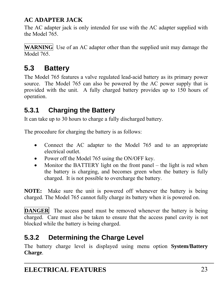# **AC ADAPTER JACK**

The AC adapter jack is only intended for use with the AC adapter supplied with the Model 765.

**WARNING** Use of an AC adapter other than the supplied unit may damage the Model 765.

# <span id="page-22-0"></span>**5.3 Battery**

The Model 765 features a valve regulated lead-acid battery as its primary power source. The Model 765 can also be powered by the AC power supply that is provided with the unit. A fully charged battery provides up to 150 hours of operation.

# <span id="page-22-1"></span>**5.3.1 Charging the Battery**

It can take up to 30 hours to charge a fully discharged battery.

The procedure for charging the battery is as follows:

- Connect the AC adapter to the Model 765 and to an appropriate electrical outlet.
- Power off the Model 765 using the ON/OFF key.
- Monitor the BATTERY light on the front panel the light is red when the battery is charging, and becomes green when the battery is fully charged. It is not possible to overcharge the battery.

**NOTE:** Make sure the unit is powered off whenever the battery is being charged. The Model 765 cannot fully charge its battery when it is powered on.

**DANGER** The access panel must be removed whenever the battery is being charged. Care must also be taken to ensure that the access panel cavity is not blocked while the battery is being charged.

# <span id="page-22-2"></span>**5.3.2 Determining the Charge Level**

The battery charge level is displayed using menu option **System/Battery Charge**.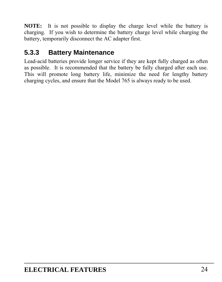**NOTE:** It is not possible to display the charge level while the battery is charging. If you wish to determine the battery charge level while charging the battery, temporarily disconnect the AC adapter first.

# <span id="page-23-0"></span>**5.3.3 Battery Maintenance**

Lead-acid batteries provide longer service if they are kept fully charged as often as possible. It is recommended that the battery be fully charged after each use. This will promote long battery life, minimize the need for lengthy battery charging cycles, and ensure that the Model 765 is always ready to be used.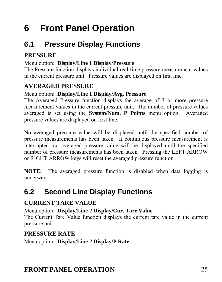# <span id="page-24-0"></span>**6 Front Panel Operation**

# <span id="page-24-1"></span>**6.1 Pressure Display Functions**

### **PRESSURE**

#### Menu option: **Display/Line 1 Display/Pressure**

The Pressure function displays individual real-time pressure measurement values in the current pressure unit. Pressure values are displayed on first line.

### **AVERAGED PRESSURE**

#### Menu option: **Display/Line 1 Display/Avg. Pressure**

The Averaged Pressure function displays the average of 3 or more pressure measurement values in the current pressure unit. The number of pressure values averaged is set using the **System/Num. P Points** menu option. Averaged pressure values are displayed on first line.

No averaged pressure value will be displayed until the specified number of pressure measurements has been taken. If continuous pressure measurement is interrupted, no averaged pressure value will be displayed until the specified number of pressure measurements has been taken. Pressing the LEFT ARROW or RIGHT ARROW keys will reset the averaged pressure function.

**NOTE:** The averaged pressure function is disabled when data logging is underway.

# <span id="page-24-2"></span>**6.2 Second Line Display Functions**

### **CURRENT TARE VALUE**

Menu option: **Display/Line 2 Display/Cur. Tare Value**

The Current Tare Value function displays the current tare value in the current pressure unit.

### **PRESSURE RATE**

Menu option: **Display/Line 2 Display/P Rate**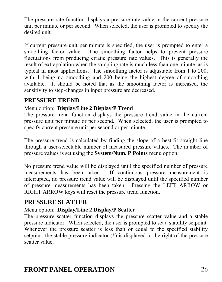The pressure rate function displays a pressure rate value in the current pressure unit per minute or per second. When selected, the user is prompted to specify the desired unit.

If current pressure unit per minute is specified, the user is prompted to enter a smoothing factor value. The smoothing factor helps to prevent pressure fluctuations from producing erratic pressure rate values. This is generally the result of extrapolation when the sampling rate is much less than one minute, as is typical in most applications. The smoothing factor is adjustable from 1 to 200, with 1 being no smoothing and 200 being the highest degree of smoothing available. It should be noted that as the smoothing factor is increased, the sensitivity to step-changes in input pressure are decreased.

#### **PRESSURE TREND**

#### Menu option: **Display/Line 2 Display/P Trend**

The pressure trend function displays the pressure trend value in the current pressure unit per minute or per second. When selected, the user is prompted to specify current pressure unit per second or per minute.

The pressure trend is calculated by finding the slope of a best-fit straight line through a user-selectable number of measured pressure values. The number of pressure values is set using the **System/Num. P Points** menu option.

No pressure trend value will be displayed until the specified number of pressure measurements has been taken. If continuous pressure measurement is interrupted, no pressure trend value will be displayed until the specified number of pressure measurements has been taken. Pressing the LEFT ARROW or RIGHT ARROW keys will reset the pressure trend function.

#### **PRESSURE SCATTER**

#### Menu option: **Display/Line 2 Display/P Scatter**

The pressure scatter function displays the pressure scatter value and a stable pressure indicator. When selected, the user is prompted to set a stability setpoint. Whenever the pressure scatter is less than or equal to the specified stability setpoint, the stable pressure indicator (\*) is displayed to the right of the pressure scatter value.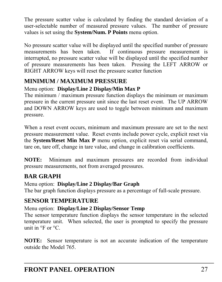The pressure scatter value is calculated by finding the standard deviation of a user-selectable number of measured pressure values. The number of pressure values is set using the **System/Num. P Points** menu option.

No pressure scatter value will be displayed until the specified number of pressure measurements has been taken. If continuous pressure measurement is interrupted, no pressure scatter value will be displayed until the specified number of pressure measurements has been taken. Pressing the LEFT ARROW or RIGHT ARROW keys will reset the pressure scatter function

### **MINIMUM / MAXIMUM PRESSURE**

#### Menu option: **Display/Line 2 Display/Min Max P**

The minimum / maximum pressure function displays the minimum or maximum pressure in the current pressure unit since the last reset event. The UP ARROW and DOWN ARROW keys are used to toggle between minimum and maximum pressure.

When a reset event occurs, minimum and maximum pressure are set to the next pressure measurement value. Reset events include power cycle, explicit reset via the **System/Reset Min Max P** menu option, explicit reset via serial command, tare on, tare off, change in tare value, and change in calibration coefficients.

**NOTE:** Minimum and maximum pressures are recorded from individual pressure measurements, not from averaged pressures.

### **BAR GRAPH**

Menu option: **Display/Line 2 Display/Bar Graph** 

The bar graph function displays pressure as a percentage of full-scale pressure.

### **SENSOR TEMPERATURE**

#### Menu option: **Display/Line 2 Display/Sensor Temp**

The sensor temperature function displays the sensor temperature in the selected temperature unit. When selected, the user is prompted to specify the pressure unit in  $\mathrm{P}F$  or  $\mathrm{P}C$ .

**NOTE:** Sensor temperature is not an accurate indication of the temperature outside the Model 765.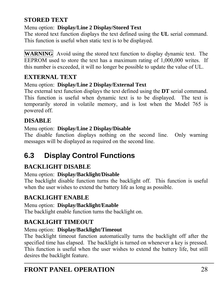### **STORED TEXT**

#### Menu option: **Display/Line 2 Display/Stored Text**

The stored text function displays the text defined using the **UL** serial command. This function is useful when static text is to be displayed.

**WARNING** Avoid using the stored text function to display dynamic text. The EEPROM used to store the text has a maximum rating of 1,000,000 writes. If this number is exceeded, it will no longer be possible to update the value of UL.

#### **EXTERNAL TEXT**

#### Menu option: **Display/Line 2 Display/External Text**

The external text function displays the text defined using the **DT** serial command. This function is useful when dynamic text is to be displayed. The text is temporarily stored in volatile memory, and is lost when the Model 765 is powered off.

### **DISABLE**

#### Menu option: **Display/Line 2 Display/Disable**

The disable function displays nothing on the second line. Only warning messages will be displayed as required on the second line.

# <span id="page-27-0"></span>**6.3 Display Control Functions**

# **BACKLIGHT DISABLE**

#### Menu option: **Display/Backlight/Disable**

The backlight disable function turns the backlight off. This function is useful when the user wishes to extend the battery life as long as possible.

### **BACKLIGHT ENABLE**

# Menu option: **Display/Backlight/Enable**

The backlight enable function turns the backlight on.

# **BACKLIGHT TIMEOUT**

#### Menu option: **Display/Backlight/Timeout**

The backlight timeout function automatically turns the backlight off after the specified time has elapsed. The backlight is turned on whenever a key is pressed. This function is useful when the user wishes to extend the battery life, but still desires the backlight feature.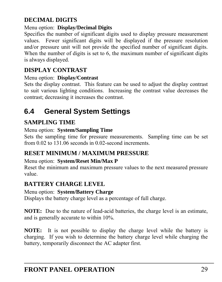### **DECIMAL DIGITS**

#### Menu option: **Display/Decimal Digits**

Specifies the number of significant digits used to display pressure measurement values. Fewer significant digits will be displayed if the pressure resolution and/or pressure unit will not provide the specified number of significant digits. When the number of digits is set to 6, the maximum number of significant digits is always displayed.

### **DISPLAY CONTRAST**

#### Menu option: **Display/Contrast**

Sets the display contrast. This feature can be used to adjust the display contrast to suit various lighting conditions. Increasing the contrast value decreases the contrast; decreasing it increases the contrast.

# <span id="page-28-0"></span>**6.4 General System Settings**

### **SAMPLING TIME**

#### Menu option: **System/Sampling Time**

Sets the sampling time for pressure measurements. Sampling time can be set from 0.02 to 131.06 seconds in 0.02-second increments.

### **RESET MINIMUM / MAXIMUM PRESSURE**

#### Menu option: **System/Reset Min/Max P**

Reset the minimum and maximum pressure values to the next measured pressure value.

### **BATTERY CHARGE LEVEL**

#### Menu option: **System/Battery Charge**

Displays the battery charge level as a percentage of full charge.

**NOTE:** Due to the nature of lead-acid batteries, the charge level is an estimate, and is generally accurate to within 10%.

**NOTE:** It is not possible to display the charge level while the battery is charging. If you wish to determine the battery charge level while charging the battery, temporarily disconnect the AC adapter first.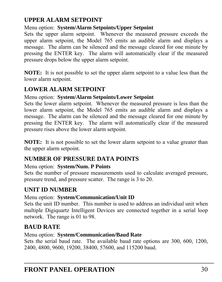### **UPPER ALARM SETPOINT**

#### Menu option: **System/Alarm Setpoints/Upper Setpoint**

Sets the upper alarm setpoint. Whenever the measured pressure exceeds the upper alarm setpoint, the Model 765 emits an audible alarm and displays a message. The alarm can be silenced and the message cleared for one minute by pressing the ENTER key. The alarm will automatically clear if the measured pressure drops below the upper alarm setpoint.

**NOTE:** It is not possible to set the upper alarm setpoint to a value less than the lower alarm setpoint.

# **LOWER ALARM SETPOINT**

#### Menu option: **System/Alarm Setpoints/Lower Setpoint**

Sets the lower alarm setpoint. Whenever the measured pressure is less than the lower alarm setpoint, the Model 765 emits an audible alarm and displays a message. The alarm can be silenced and the message cleared for one minute by pressing the ENTER key. The alarm will automatically clear if the measured pressure rises above the lower alarm setpoint.

**NOTE:** It is not possible to set the lower alarm setpoint to a value greater than the upper alarm setpoint.

# **NUMBER OF PRESSURE DATA POINTS**

#### Menu option: **System/Num. P Points**

Sets the number of pressure measurements used to calculate averaged pressure, pressure trend, and pressure scatter. The range is 3 to 20.

# **UNIT ID NUMBER**

### Menu option: **System/Communication/Unit ID**

Sets the unit ID number. This number is used to address an individual unit when multiple Digiquartz Intelligent Devices are connected together in a serial loop network. The range is 01 to 98.

# **BAUD RATE**

#### Menu option: **System/Communication/Baud Rate**

Sets the serial baud rate. The available baud rate options are 300, 600, 1200, 2400, 4800, 9600, 19200, 38400, 57600, and 115200 baud.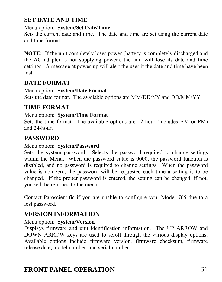### **SET DATE AND TIME**

#### Menu option: **System/Set Date/Time**

Sets the current date and time. The date and time are set using the current date and time format.

**NOTE:** If the unit completely loses power (battery is completely discharged and the AC adapter is not supplying power), the unit will lose its date and time settings. A message at power-up will alert the user if the date and time have been lost.

#### **DATE FORMAT**

#### Menu option: **System/Date Format**

Sets the date format. The available options are MM/DD/YY and DD/MM/YY.

#### **TIME FORMAT**

#### Menu option: **System/Time Format**

Sets the time format. The available options are 12-hour (includes AM or PM) and 24-hour.

#### **PASSWORD**

#### Menu option: **System/Password**

Sets the system password. Selects the password required to change settings within the Menu. When the password value is 0000, the password function is disabled, and no password is required to change settings. When the password value is non-zero, the password will be requested each time a setting is to be changed. If the proper password is entered, the setting can be changed; if not, you will be returned to the menu.

Contact Paroscientific if you are unable to configure your Model 765 due to a lost password.

### **VERSION INFORMATION**

#### Menu option: **System/Version**

Displays firmware and unit identification information. The UP ARROW and DOWN ARROW keys are used to scroll through the various display options. Available options include firmware version, firmware checksum, firmware release date, model number, and serial number.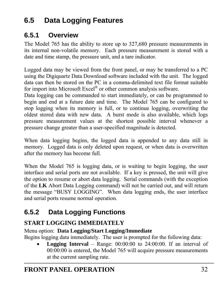# <span id="page-31-0"></span>**6.5 Data Logging Features**

# <span id="page-31-1"></span>**6.5.1 Overview**

The Model 765 has the ability to store up to 327,680 pressure measurements in its internal non-volatile memory. Each pressure measurement is stored with a date and time stamp, the pressure unit, and a tare indicator.

Logged data may be viewed from the front panel, or may be transferred to a PC using the Digiquartz Data Download software included with the unit. The logged data can then be stored on the PC in a comma-delimited text file format suitable for import into Microsoft Excel® or other common analysis software.

Data logging can be commanded to start immediately, or can be programmed to begin and end at a future date and time. The Model 765 can be configured to stop logging when its memory is full, or to continue logging, overwriting the oldest stored data with new data. A burst mode is also available, which logs pressure measurement values at the shortest possible interval whenever a pressure change greater than a user-specified magnitude is detected.

When data logging begins, the logged data is appended to any data still in memory. Logged data is only deleted upon request, or when data is overwritten after the memory has become full.

When the Model 765 is logging data, or is waiting to begin logging, the user interface and serial ports are not available. If a key is pressed, the unit will give the option to resume or abort data logging. Serial commands (with the exception of the **LK** Abort Data Logging command) will not be carried out, and will return the message "BUSY LOGGING". When data logging ends, the user interface and serial ports resume normal operation.

# <span id="page-31-2"></span>**6.5.2 Data Logging Functions**

# **START LOGGING IMMEDIATELY**

Menu option: **Data Logging/Start Logging/Immediate** 

Begins logging data immediately. The user is prompted for the following data:

**Logging Interval** – Range:  $00:00:00$  to  $24:00:00$ . If an interval of 00:00:00 is entered, the Model 765 will acquire pressure measurements at the current sampling rate.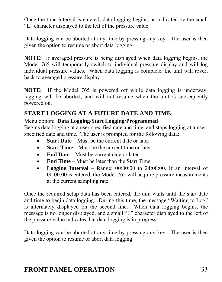Once the time interval is entered, data logging begins, as indicated by the small "L" character displayed to the left of the pressure value.

Data logging can be aborted at any time by pressing any key. The user is then given the option to resume or abort data logging.

**NOTE:** If averaged pressure is being displayed when data logging begins, the Model 765 will temporarily switch to individual pressure display and will log individual pressure values. When data logging is complete, the unit will revert back to averaged pressure display.

**NOTE:** If the Model 765 is powered off while data logging is underway, logging will be aborted, and will not resume when the unit is subsequently powered on.

### **START LOGGING AT A FUTURE DATE AND TIME**

#### Menu option: **Data Logging/Start Logging/Programmed**

Begins data logging at a user-specified date and time, and stops logging at a userspecified date and time. The user is prompted for the following data:

- **Start Date** Must be the current date or later
- **Start Time**  Must be the current time or later
- **End Date** Must be current date or later
- **End Time**  Must be later than the Start Time.
- Logging Interval Range: 00:00:00 to 24:00:00. If an interval of 00:00:00 is entered, the Model 765 will acquire pressure measurements at the current sampling rate.

Once the required setup data has been entered, the unit waits until the start date and time to begin data logging. During this time, the message "Waiting to Log" is alternately displayed on the second line. When data logging begins, the message is no longer displayed, and a small "L" character displayed to the left of the pressure value indicates that data logging is in progress.

Data logging can be aborted at any time by pressing any key. The user is then given the option to resume or abort data logging.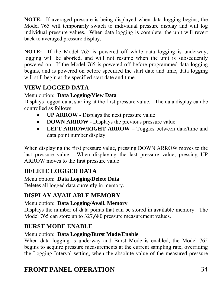**NOTE:** If averaged pressure is being displayed when data logging begins, the Model 765 will temporarily switch to individual pressure display and will log individual pressure values. When data logging is complete, the unit will revert back to averaged pressure display.

**NOTE:** If the Model 765 is powered off while data logging is underway, logging will be aborted, and will not resume when the unit is subsequently powered on. If the Model 765 is powered off before programmed data logging begins, and is powered on before specified the start date and time, data logging will still begin at the specified start date and time.

### **VIEW LOGGED DATA**

#### Menu option: **Data Logging/View Data**

Displays logged data, starting at the first pressure value. The data display can be controlled as follows:

- **UP ARROW** Displays the next pressure value
- **DOWN ARROW** Displays the previous pressure value
- LEFT ARROW/RIGHT ARROW Toggles between date/time and data point number display.

When displaying the first pressure value, pressing DOWN ARROW moves to the last pressure value. When displaying the last pressure value, pressing UP ARROW moves to the first pressure value

### **DELETE LOGGED DATA**

Menu option: **Data Logging/Delete Data**  Deletes all logged data currently in memory.

# **DISPLAY AVAILABLE MEMORY**

#### Menu option: **Data Logging/Avail. Memory**

Displays the number of data points that can be stored in available memory. The Model 765 can store up to 327,680 pressure measurement values.

### **BURST MODE ENABLE**

#### Menu option: **Data Logging/Burst Mode/Enable**

When data logging is underway and Burst Mode is enabled, the Model 765 begins to acquire pressure measurements at the current sampling rate, overriding the Logging Interval setting, when the absolute value of the measured pressure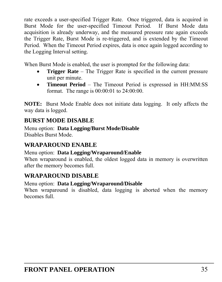rate exceeds a user-specified Trigger Rate. Once triggered, data is acquired in Burst Mode for the user-specified Timeout Period. If Burst Mode data acquisition is already underway, and the measured pressure rate again exceeds the Trigger Rate, Burst Mode is re-triggered, and is extended by the Timeout Period. When the Timeout Period expires, data is once again logged according to the Logging Interval setting.

When Burst Mode is enabled, the user is prompted for the following data:

- **Trigger Rate** The Trigger Rate is specified in the current pressure unit per minute.
- **Timeout Period**  The Timeout Period is expressed in HH:MM:SS format. The range is 00:00:01 to 24:00:00.

**NOTE:** Burst Mode Enable does not initiate data logging. It only affects the way data is logged.

### **BURST MODE DISABLE**

Menu option: **Data Logging/Burst Mode/Disable**  Disables Burst Mode.

### **WRAPAROUND ENABLE**

Menu option: **Data Logging/Wraparound/Enable**  When wraparound is enabled, the oldest logged data in memory is overwritten after the memory becomes full.

### **WRAPAROUND DISABLE**

Menu option: **Data Logging/Wraparound/Disable** 

When wraparound is disabled, data logging is aborted when the memory becomes full.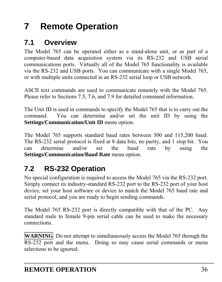# <span id="page-35-0"></span>**7 Remote Operation**

# <span id="page-35-1"></span>**7.1 Overview**

The Model 765 can be operated either as a stand-alone unit, or as part of a computer-based data acquisition system via its RS-232 and USB serial communications ports. Virtually all of the Model 765 functionality is available via the RS-232 and USB ports. You can communicate with a single Model 765, or with multiple units connected in an RS-232 serial loop or USB network.

ASCII text commands are used to communicate remotely with the Model 765. Please refer to Sections [7.5,](#page-41-1) [7.6](#page-42-0), and [7.9](#page-47-0) for detailed command information.

The Unit ID is used in commands to specify the Model 765 that is to carry out the command. You can determine and/or set the unit ID by using the **Settings/Communication/Unit ID** menu option.

The Model 765 supports standard baud rates between 300 and 115,200 baud. The RS-232 serial protocol is fixed at 8 data bits, no parity, and 1 stop bit. You can determine and/or set the baud rate by using the **Settings/Communication/Baud Rate** menu option.

# <span id="page-35-2"></span>**7.2 RS-232 Operation**

No special configuration is required to access the Model 765 via the RS-232 port. Simply connect its industry-standard RS-232 port to the RS-232 port of your host device, set your host software or device to match the Model 765 baud rate and serial protocol, and you are ready to begin sending commands.

The Model 765 RS-232 port is directly compatible with that of the PC. Any standard male to female 9-pin serial cable can be used to make the necessary connections.

**WARNING** Do not attempt to simultaneously access the Model 765 through the RS-232 port and the menu. Doing so may cause serial commands or menu selections to be ignored.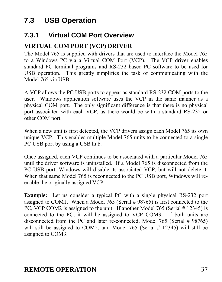# <span id="page-36-0"></span>**7.3 USB Operation**

## **7.3.1 Virtual COM Port Overview**

## **VIRTUAL COM PORT (VCP) DRIVER**

The Model 765 is supplied with drivers that are used to interface the Model 765 to a Windows PC via a Virtual COM Port (VCP). The VCP driver enables standard PC terminal programs and RS-232 based PC software to be used for USB operation. This greatly simplifies the task of communicating with the Model 765 via USB.

A VCP allows the PC USB ports to appear as standard RS-232 COM ports to the user. Windows application software uses the VCP in the same manner as a physical COM port. The only significant difference is that there is no physical port associated with each VCP, as there would be with a standard RS-232 or other COM port.

When a new unit is first detected, the VCP drivers assign each Model 765 its own unique VCP. This enables multiple Model 765 units to be connected to a single PC USB port by using a USB hub.

Once assigned, each VCP continues to be associated with a particular Model 765 until the driver software is uninstalled. If a Model 765 is disconnected from the PC USB port, Windows will disable its associated VCP, but will not delete it. When that same Model 765 is reconnected to the PC USB port, Windows will reenable the originally assigned VCP.

**Example:** Let us consider a typical PC with a single physical RS-232 port assigned to COM1. When a Model 765 (Serial # 98765) is first connected to the PC, VCP COM2 is assigned to the unit. If another Model 765 (Serial # 12345) is connected to the PC, it will be assigned to VCP COM3. If both units are disconnected from the PC and later re-connected, Model 765 (Serial # 98765) will still be assigned to COM2, and Model 765 (Serial # 12345) will still be assigned to COM3.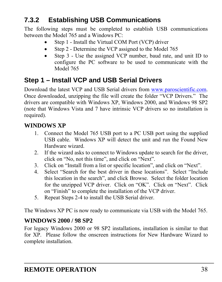# **7.3.2 Establishing USB Communications**

The following steps must be completed to establish USB communications between the Model 765 and a Windows PC:

- Step 1 Install the Virtual COM Port (VCP) driver
- Step 2 Determine the VCP assigned to the Model 765
- Step 3 Use the assigned VCP number, baud rate, and unit ID to configure the PC software to be used to communicate with the Model 765

## **Step 1 – Install VCP and USB Serial Drivers**

Download the latest VCP and USB Serial drivers from [www.paroscientific.com](http://www.paroscientific.com/). Once downloaded, unzipping the file will create the folder "VCP Drivers." The drivers are compatible with Windows XP, Windows 2000, and Windows 98 SP2 (note that Windows Vista and 7 have intrinsic VCP drivers so no installation is required).

### **WINDOWS XP**

- 1. Connect the Model 765 USB port to a PC USB port using the supplied USB cable. Windows XP will detect the unit and run the Found New Hardware wizard.
- 2. If the wizard asks to connect to Windows update to search for the driver, click on "No, not this time", and click on "Next".
- 3. Click on "Install from a list or specific location", and click on "Next".
- 4. Select "Search for the best driver in these locations". Select "Include this location in the search", and click Browse. Select the folder location for the unzipped VCP driver. Click on "OK". Click on "Next". Click on "Finish" to complete the installation of the VCP driver.
- 5. Repeat Steps 2-4 to install the USB Serial driver.

The Windows XP PC is now ready to communicate via USB with the Model 765.

#### **WINDOWS 2000 / 98 SP2**

For legacy Windows 2000 or 98 SP2 installations, installation is similar to that for XP. Please follow the onscreen instructions for New Hardware Wizard to complete installation.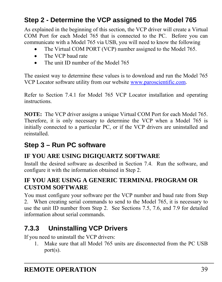## **Step 2 - Determine the VCP assigned to the Model 765**

As explained in the beginning of this section, the VCP driver will create a Virtual COM Port for each Model 765 that is connected to the PC. Before you can communicate with a Model 765 via USB, you will need to know the following

- The Virtual COM PORT (VCP) number assigned to the Model 765.
- The VCP baud rate
- The unit ID number of the Model 765

The easiest way to determine these values is to download and run the Model 765 VCP Locator software utility from our website [www.paroscientific.com](http://www.paroscientific.com/).

Refer to Section [7.4.1](#page-39-0) for Model 765 VCP Locator installation and operating instructions.

**NOTE:** The VCP driver assigns a unique Virtual COM Port for each Model 765. Therefore, it is only necessary to determine the VCP when a Model 765 is initially connected to a particular PC, or if the VCP drivers are uninstalled and reinstalled.

## **Step 3 – Run PC software**

### **IF YOU ARE USING DIGIQUARTZ SOFTWARE**

Install the desired software as described in Section [7.4.](#page-39-1) Run the software, and configure it with the information obtained in Step 2.

### **IF YOU ARE USING A GENERIC TERMINAL PROGRAM OR CUSTOM SOFTWARE**

You must configure your software per the VCP number and baud rate from Step 2. When creating serial commands to send to the Model 765, it is necessary to use the unit ID number from Step 2. See Sections [7.5,](#page-41-0) [7.6](#page-42-0), and [7.9](#page-47-0) for detailed information about serial commands.

# **7.3.3 Uninstalling VCP Drivers**

If you need to uninstall the VCP drivers:

1. Make sure that all Model 765 units are disconnected from the PC USB port(s).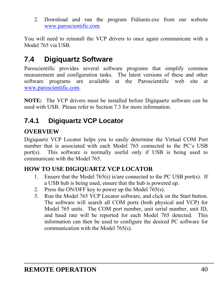2. Download and run the program Ftdiunin.exe from our website [www.paroscientific.com.](http://www.paroscientific.com/)

You will need to reinstall the VCP drivers to once again communicate with a Model 765 via USB.

# <span id="page-39-1"></span>**7.4 Digiquartz Software**

Paroscientific provides several software programs that simplify common measurement and configuration tasks. The latest versions of these and other software programs are available at the Paroscientific web site at [www.paroscientific.com.](http://www.paroscientific.com/)

**NOTE:** The VCP drivers must be installed before Digiquartz software can be used with USB. Please refer to Section [7.3](#page-36-0) for more information.

## <span id="page-39-0"></span>**7.4.1 Digiquartz VCP Locator**

### **OVERVIEW**

Digiquartz VCP Locator helps you to easily determine the Virtual COM Port number that is associated with each Model 765 connected to the PC's USB port(s). This software is normally useful only if USB is being used to communicate with the Model 765.

## **HOW TO USE DIGIQUARTZ VCP LOCATOR**

- 1. Ensure that the Model 765(s) is/are connected to the PC USB port(s). If a USB hub is being used, ensure that the hub is powered up.
- 2. Press the ON/OFF key to power up the Model 765(s).
- 3. Run the Model 765 VCP Locator software, and click on the Start button. The software will search all COM ports (both physical and VCP) for Model 765 units. The COM port number, unit serial number, unit ID, and baud rate will be reported for each Model 765 detected. This information can then be used to configure the desired PC software for communication with the Model 765(s).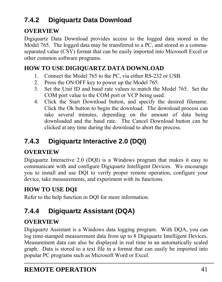# **7.4.2 Digiquartz Data Download**

### **OVERVIEW**

Digiquartz Data Download provides access to the logged data stored in the Model 765. The logged data may be transferred to a PC, and stored in a commaseparated value (CSV) format that can be easily imported into Microsoft Excel or other common software programs.

### **HOW TO USE DIGIQUARTZ DATA DOWNLOAD**

- 1. Connect the Model 765 to the PC, via either RS-232 or USB.
- 2. Press the ON/OFF key to power up the Model 765.
- 3. Set the Unit ID and baud rate values to match the Model 765. Set the COM port value to the COM port or VCP being used.
- 4. Click the Start Download button, and specify the desired filename. Click the Ok button to begin the download. The download process can take several minutes, depending on the amount of data being downloaded and the baud rate. The Cancel Download button can be clicked at any time during the download to abort the process.

# **7.4.3 Digiquartz Interactive 2.0 (DQI)**

### **OVERVIEW**

Digiquartz Interactive 2.0 (DQI) is a Windows program that makes it easy to communicate with and configure Digiquartz Intelligent Devices. We encourage you to install and use DQI to verify proper remote operation, configure your device, take measurements, and experiment with its functions.

### **HOW TO USE DQI**

Refer to the help function in DQI for more information.

# **7.4.4 Digiquartz Assistant (DQA)**

### **OVERVIEW**

Digiquartz Assistant is a Windows data logging program. With DQA, you can log time-stamped measurement data from up to 8 Digiquartz Intelligent Devices. Measurement data can also be displayed in real time in an automatically scaled graph. Data is stored to a text file in a format that can easily be imported into popular PC programs such as Microsoft Word or Excel.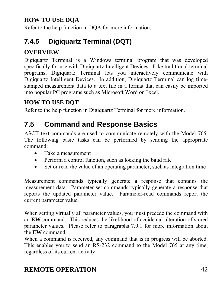## **HOW TO USE DQA**

Refer to the help function in DQA for more information.

# **7.4.5 Digiquartz Terminal (DQT)**

## **OVERVIEW**

Digiquartz Terminal is a Windows terminal program that was developed specifically for use with Digiquartz Intelligent Devices. Like traditional terminal programs, Digiquartz Terminal lets you interactively communicate with Digiquartz Intelligent Devices. In addition, Digiquartz Terminal can log timestamped measurement data to a text file in a format that can easily be imported into popular PC programs such as Microsoft Word or Excel.

## **HOW TO USE DQT**

Refer to the help function in Digiquartz Terminal for more information.

# <span id="page-41-0"></span>**7.5 Command and Response Basics**

ASCII text commands are used to communicate remotely with the Model 765. The following basic tasks can be performed by sending the appropriate command:

- Take a measurement
- Perform a control function, such as locking the baud rate
- Set or read the value of an operating parameter, such as integration time

Measurement commands typically generate a response that contains the measurement data. Parameter-set commands typically generate a response that reports the updated parameter value. Parameter-read commands report the current parameter value.

When setting virtually all parameter values, you must precede the command with an **EW** command. This reduces the likelihood of accidental alteration of stored parameter values. Please refer to paragraphs [7.9.1](#page-47-1) for more information about the **EW** command.

When a command is received, any command that is in progress will be aborted. This enables you to send an RS-232 command to the Model 765 at any time, regardless of its current activity.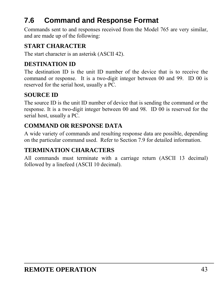# <span id="page-42-0"></span>**7.6 Command and Response Format**

Commands sent to and responses received from the Model 765 are very similar, and are made up of the following:

### **START CHARACTER**

The start character is an asterisk (ASCII 42).

### **DESTINATION ID**

The destination ID is the unit ID number of the device that is to receive the command or response. It is a two-digit integer between 00 and 99. ID 00 is reserved for the serial host, usually a PC.

### **SOURCE ID**

The source ID is the unit ID number of device that is sending the command or the response. It is a two-digit integer between 00 and 98. ID 00 is reserved for the serial host, usually a PC.

## **COMMAND OR RESPONSE DATA**

A wide variety of commands and resulting response data are possible, depending on the particular command used. Refer to Section [7.9](#page-47-0) for detailed information.

### **TERMINATION CHARACTERS**

All commands must terminate with a carriage return (ASCII 13 decimal) followed by a linefeed (ASCII 10 decimal).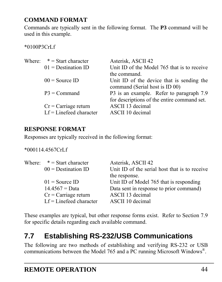## **COMMAND FORMAT**

Commands are typically sent in the following format. The **P3** command will be used in this example.

#### \*0100P3CrLf

| Where: $* = Start character$ | Asterisk, ASCII 42                          |
|------------------------------|---------------------------------------------|
| $01$ = Destination ID        | Unit ID of the Model 765 that is to receive |
|                              | the command.                                |
| $00 =$ Source ID             | Unit ID of the device that is sending the   |
|                              | command (Serial host is ID 00)              |
| $P3 = Command$               | P3 is an example. Refer to paragraph 7.9    |
|                              | for descriptions of the entire command set. |
| $Cr = Carriage return$       | ASCII 13 decimal                            |
| $Lf = Linefeed$ character    | ASCII 10 decimal                            |

### **RESPONSE FORMAT**

Responses are typically received in the following format:

#### \*000114.4567CrLf

| Where: $* =$ Start character | Asterisk, ASCII 42                                             |
|------------------------------|----------------------------------------------------------------|
| $00 =$ Destination ID        | Unit ID of the serial host that is to receive<br>the response. |
| $01 =$ Source ID             | Unit ID of Model 765 that is responding                        |
|                              |                                                                |
| $14.4567 = Data$             | Data sent in response to prior command)                        |
| $Cr = Carriage return$       | ASCII 13 decimal                                               |
| $Lf = Linefeed character$    | ASCII 10 decimal                                               |

These examples are typical, but other response forms exist. Refer to Section [7.9](#page-47-0) for specific details regarding each available command.

# **7.7 Establishing RS-232/USB Communications**

The following are two methods of establishing and verifying RS-232 or USB communications between the Model 765 and a PC running Microsoft Windows®.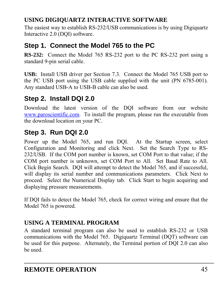## **USING DIGIQUARTZ INTERACTIVE SOFTWARE**

The easiest way to establish RS-232/USB communications is by using Digiquartz Interactive 2.0 (DQI) software.

## **Step 1. Connect the Model 765 to the PC**

**RS-232:** Connect the Model 765 RS-232 port to the PC RS-232 port using a standard 9-pin serial cable.

**USB:** Install USB driver per Section [7.3](#page-36-0). Connect the Model 765 USB port to the PC USB port using the USB cable supplied with the unit (PN 6785-001). Any standard USB-A to USB-B cable can also be used.

## **Step 2. Install DQI 2.0**

Download the latest version of the DQI software from our website [www.paroscientific.com.](http://www.paroscientific.com/) To install the program, please run the executable from the download location on your PC.

## **Step 3. Run DQI 2.0**

Power up the Model 765, and run DQI. At the Startup screen, select Configuration and Monitoring and click Next. Set the Search Type to RS-232/USB. If the COM port number is known, set COM Port to that value; if the COM port number is unknown, set COM Port to All. Set Baud Rate to All. Click Begin Search. DQI will attempt to detect the Model 765, and if successful, will display its serial number and communications parameters. Click Next to proceed. Select the Numerical Display tab. Click Start to begin acquiring and displaying pressure measurements.

If DQI fails to detect the Model 765, check for correct wiring and ensure that the Model 765 is powered.

## **USING A TERMINAL PROGRAM**

A standard terminal program can also be used to establish RS-232 or USB communications with the Model 765. Digiquartz Terminal (DQT) software can be used for this purpose. Alternately, the Terminal portion of DQI 2.0 can also be used.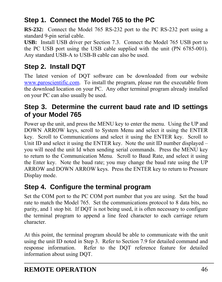# **Step 1. Connect the Model 765 to the PC**

**RS-232:** Connect the Model 765 RS-232 port to the PC RS-232 port using a standard 9-pin serial cable.

**USB:** Install USB driver per Section [7.3](#page-36-0). Connect the Model 765 USB port to the PC USB port using the USB cable supplied with the unit (PN 6785-001). Any standard USB-A to USB-B cable can also be used.

# **Step 2. Install DQT**

The latest version of DQT software can be downloaded from our website [www.paroscientific.com.](http://www.paroscientific.com/) To install the program, please run the executable from the download location on your PC. Any other terminal program already installed on your PC can also usually be used.

## **Step 3. Determine the current baud rate and ID settings of your Model 765**

Power up the unit, and press the MENU key to enter the menu. Using the UP and DOWN ARROW keys, scroll to System Menu and select it using the ENTER key. Scroll to Communications and select it using the ENTER key. Scroll to Unit ID and select it using the ENTER key. Note the unit ID number displayed – you will need the unit Id when sending serial commands. Press the MENU key to return to the Communication Menu. Scroll to Baud Rate, and select it using the Enter key. Note the baud rate; you may change the baud rate using the UP ARROW and DOWN ARROW keys. Press the ENTER key to return to Pressure Display mode.

## **Step 4. Configure the terminal program**

Set the COM port to the PC COM port number that you are using. Set the baud rate to match the Model 765. Set the communications protocol to 8 data bits, no parity, and 1 stop bit. If DQT is not being used, it is often necessary to configure the terminal program to append a line feed character to each carriage return character.

At this point, the terminal program should be able to communicate with the unit using the unit ID noted in Step 3. Refer to Section [7.9](#page-47-0) for detailed command and response information. Refer to the DQT reference feature for detailed information about using DQT.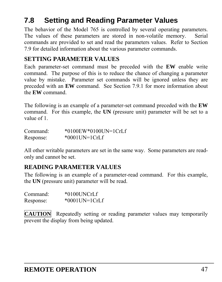# **7.8 Setting and Reading Parameter Values**

The behavior of the Model 765 is controlled by several operating parameters. The values of these parameters are stored in non-volatile memory. Serial commands are provided to set and read the parameters values. Refer to Section [7.9](#page-47-0) for detailed information about the various parameter commands.

#### **SETTING PARAMETER VALUES**

Each parameter-set command must be preceded with the **EW** enable write command. The purpose of this is to reduce the chance of changing a parameter value by mistake. Parameter set commands will be ignored unless they are preceded with an **EW** command. See Section [7.9.1](#page-47-1) for more information about the **EW** command.

The following is an example of a parameter-set command preceded with the **EW** command. For this example, the **UN** (pressure unit) parameter will be set to a value of 1.

| Command:  | $*0100$ EW $*0100$ UN=1CrLf |
|-----------|-----------------------------|
| Response: | $*0001$ UN=1CrLf            |

All other writable parameters are set in the same way. Some parameters are readonly and cannot be set.

#### **READING PARAMETER VALUES**

The following is an example of a parameter-read command. For this example, the **UN** (pressure unit) parameter will be read.

| Command:  | *0100UNCrLf      |
|-----------|------------------|
| Response: | $*0001$ UN=1CrLf |

**CAUTION** Repeatedly setting or reading parameter values may temporarily prevent the display from being updated.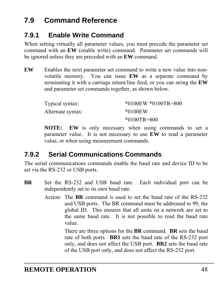# <span id="page-47-0"></span>**7.9 Command Reference**

# <span id="page-47-1"></span>**7.9.1 Enable Write Command**

When setting virtually all parameter values, you must precede the parameter set command with an **EW** (enable write) command. Parameter set commands will be ignored unless they are preceded with an **EW** command.

**EW** Enables the next parameter set command to write a new value into nonvolatile memory. You can issue **EW** as a separate command by terminating it with a carriage return/line feed, or you can string the **EW** and parameter set commands together, as shown below.

| Typical syntax:   | $*0100$ EW $*0100$ TR=800 |  |
|-------------------|---------------------------|--|
| Alternate syntax: | $*0100$ EW                |  |
|                   | $*0100TR = 800$           |  |

**NOTE: EW** is only necessary when using commands to set a parameter value. It is not necessary to use **EW** to read a parameter value, or when using measurement commands.

# **7.9.2 Serial Communications Commands**

The serial communications commands enable the baud rate and device ID to be set via the RS-232 or USB ports.

- **BR** Set the RS-232 and USB baud rate. Each individual port can be independently set to its own baud rate.
	- Action: The **BR** command is used to set the baud rate of the RS-232 and USB ports. The BR command must be addressed to 99, the global ID. This ensures that all units on a network are set to the same baud rate. It is not possible to read the baud rate value.

 There are three options for the **BR** command. **BR** sets the baud rate of both ports. **BR1** sets the baud rate of the RS-232 port only, and does not affect the USB port. **BR2** sets the baud rate of the USB port only, and does not affect the RS-232 port.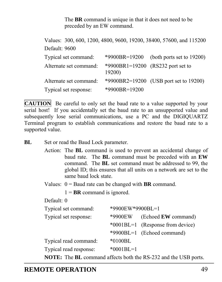The **BR** command is unique in that it does not need to be preceded by an EW command.

Values: 300, 600, 1200, 4800, 9600, 19200, 38400, 57600, and 115200 Default: 9600 Typical set command: \*9900BR=19200 (both ports set to 19200) Alternate set command: \*9900BR1=19200 (RS232 port set to 19200) Alternate set command: \*9900BR2=19200 (USB port set to 19200) Typical set response: \*9900BR=19200

**CAUTION** Be careful to only set the baud rate to a value supported by your serial host! If you accidentally set the baud rate to an unsupported value and subsequently lose serial communications, use a PC and the DIGIQUARTZ Terminal program to establish communications and restore the baud rate to a supported value.

**BL** Set or read the Baud Lock parameter.

Action: The **BL** command is used to prevent an accidental change of baud rate. The **BL** command must be preceded with an **EW** command. The **BL** set command must be addressed to 99, the global ID; this ensures that all units on a network are set to the same baud lock state.

Values:  $0 =$  Baud rate can be changed with **BR** command.

 $1 = BR$  command is ignored.

Default: 0

| Typical set command:   | *9900EW*9900BL=1 |                                                                               |
|------------------------|------------------|-------------------------------------------------------------------------------|
| Typical set response:  | *9900EW          | (Echoed <b>EW</b> command)                                                    |
|                        |                  | *0001BL=1 (Response from device)                                              |
|                        |                  | *9900BL=1 (Echoed command)                                                    |
| Typical read command:  | $*0100BL$        |                                                                               |
| Typical read response: | $*0001BL=1$      |                                                                               |
|                        |                  | <b>NOTE:</b> The <b>BL</b> command affects both the RS-232 and the USB ports. |

**REMOTE OPERATION** 49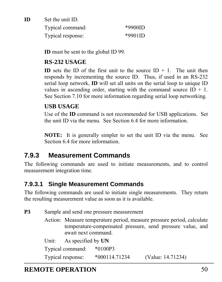**ID** Set the unit ID. Typical command: \*9900ID Typical response: \*9901ID

**ID** must be sent to the global ID 99.

#### **RS-232 USAGE**

**ID** sets the ID of the first unit to the source  $ID + 1$ . The unit then responds by incrementing the source ID. Thus, if used in an RS-232 serial loop network, **ID** will set all units on the serial loop to unique ID values in ascending order, starting with the command source  $ID + 1$ . See Section [7.10](#page-94-0) for more information regarding serial loop networking.

#### **USB USAGE**

Use of the **ID** command is not recommended for USB applications. Set the unit ID via the menu. See Section [6.4](#page-28-0) for more information.

**NOTE:** It is generally simpler to set the unit ID via the menu. See Section [6.4](#page-28-0) for more information.

## **7.9.3 Measurement Commands**

The following commands are used to initiate measurements, and to control measurement integration time.

### **7.9.3.1 Single Measurement Commands**

The following commands are used to initiate single measurements. They return the resulting measurement value as soon as it is available.

| P3 | Sample and send one pressure measurement |                     |                 |                                                                                                                                      |
|----|------------------------------------------|---------------------|-----------------|--------------------------------------------------------------------------------------------------------------------------------------|
|    |                                          | await next command. |                 | Action: Measure temperature period, measure pressure period, calculate<br>temperature-compensated pressure, send pressure value, and |
|    | Unit:                                    | As specified by UN  |                 |                                                                                                                                      |
|    |                                          | Typical command:    | $*0100P3$       |                                                                                                                                      |
|    |                                          | Typical response:   | $*000114.71234$ | (Value: 14.71234)                                                                                                                    |

## **REMOTE OPERATION** 50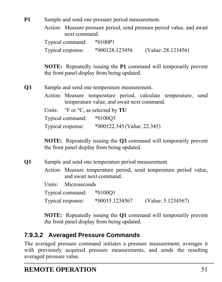**P1** Sample and send one pressure period measurement.

Action: Measure pressure period, send pressure period value, and await next command.

Typical command: \*0100P1 Typical response: \*000128.123456 (Value: 28.123456)

**NOTE:** Repeatedly issuing the **P1** command will temporarily prevent the front panel display from being updated.

**Q3** Sample and send one temperature measurement.

Action: Measure temperature period, calculate temperature, send temperature value, and await next command.

Units: °F or °C, as selected by **TU**

Typical command: \*0100Q3

Typical response: \*000122.345 (Value: 22.345)

**NOTE:** Repeatedly issuing the **Q3** command will temporarily prevent the front panel display from being updated.

**Q1** Sample and send one temperature period measurement.

Action: Measure temperature period, send temperature period value, and await next command.

Units: Microseconds Typical command: \*0100Q1 Typical response: \*00015.1234567 (Value: 5.1234567)

**NOTE:** Repeatedly issuing the **Q1** command will temporarily prevent the front panel display from being updated.

## **7.9.3.2 Averaged Pressure Commands**

The averaged pressure command initiates a pressure measurement, averages it with previously acquired pressure measurements, and sends the resulting averaged pressure value.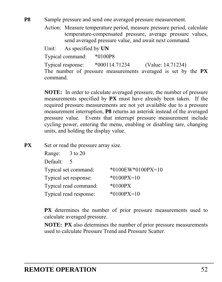**P8** Sample pressure and send one averaged pressure measurement.

Action: Measure temperature period, measure pressure period, calculate temperature-compensated pressure, average pressure values, send averaged pressure value, and await next command.

Unit: As specified by **UN**

Typical command: \*0100P8

Typical response: \*000114.71234 (Value: 14.71234) The number of pressure measurements averaged is set by the **PX** command.

**NOTE:** In order to calculate averaged pressure, the number of pressure measurements specified by **PX** must have already been taken. If the required pressure measurements are not yet available due to a pressure measurement interruption, **P8** returns an asterisk instead of the averaged pressure value. Events that interrupt pressure measurement include cycling power, entering the menu, enabling or disabling tare, changing units, and holding the display value.

**PX** Set or read the pressure array size.

| Range: 3 to 20 |                        |                   |
|----------------|------------------------|-------------------|
| Default:       | $\mathcal{F}$          |                   |
|                | Typical set command:   | *0100EW*0100PX=10 |
|                | Typical set response:  | $*0100PX=10$      |
|                | Typical read command:  | $*0100PX$         |
|                | Typical read response: | $*0100PX=10$      |

**PX** determines the number of prior pressure measurements used to calculate averaged pressure.

**NOTE: PX** also determines the number of prior pressure measurements used to calculate Pressure Trend and Pressure Scatter.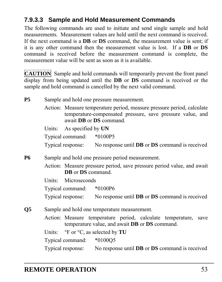## **7.9.3.3 Sample and Hold Measurement Commands**

The following commands are used to initiate and send single sample and hold measurements. Measurement values are held until the next command is received. If the next command is a **DB** or **DS** command, the measurement value is sent; if it is any other command then the measurement value is lost. If a **DB** or **DS** command is received before the measurement command is complete, the measurement value will be sent as soon as it is available.

**CAUTION** Sample and hold commands will temporarily prevent the front panel display from being updated until the **DB** or **DS** command is received or the sample and hold command is cancelled by the next valid command.

| <b>P5</b> | Sample and hold one pressure measurement.                                                                                                                                     |                                                                                                                                 |  |  |  |  |
|-----------|-------------------------------------------------------------------------------------------------------------------------------------------------------------------------------|---------------------------------------------------------------------------------------------------------------------------------|--|--|--|--|
|           | Action: Measure temperature period, measure pressure period, calculate<br>temperature-compensated pressure, save pressure value, and<br>await <b>DB</b> or <b>DS</b> command. |                                                                                                                                 |  |  |  |  |
|           |                                                                                                                                                                               | Units: As specified by UN                                                                                                       |  |  |  |  |
|           |                                                                                                                                                                               | Typical command: *0100P5                                                                                                        |  |  |  |  |
|           |                                                                                                                                                                               | Typical response: No response until <b>DB</b> or <b>DS</b> command is received                                                  |  |  |  |  |
| <b>P6</b> |                                                                                                                                                                               | Sample and hold one pressure period measurement.                                                                                |  |  |  |  |
|           |                                                                                                                                                                               | Action: Measure pressure period, save pressure period value, and await<br>DB or DS command.                                     |  |  |  |  |
|           |                                                                                                                                                                               | Units: Microseconds                                                                                                             |  |  |  |  |
|           |                                                                                                                                                                               | Typical command: *0100P6                                                                                                        |  |  |  |  |
|           |                                                                                                                                                                               | Typical response: No response until <b>DB</b> or <b>DS</b> command is received                                                  |  |  |  |  |
| Q5        |                                                                                                                                                                               | Sample and hold one temperature measurement.                                                                                    |  |  |  |  |
|           |                                                                                                                                                                               | Action: Measure temperature period, calculate temperature, save<br>temperature value, and await <b>DB</b> or <b>DS</b> command. |  |  |  |  |
|           |                                                                                                                                                                               | Units: $\degree$ F or $\degree$ C, as selected by <b>TU</b>                                                                     |  |  |  |  |
|           |                                                                                                                                                                               | Typical command: *0100Q5                                                                                                        |  |  |  |  |
|           |                                                                                                                                                                               | Typical response: No response until <b>DB</b> or <b>DS</b> command is received                                                  |  |  |  |  |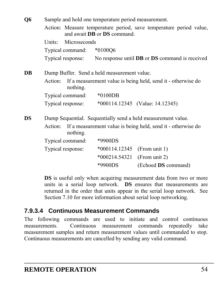| Q6        | Sample and hold one temperature period measurement.                                 |                          |                                           |                                                                    |  |
|-----------|-------------------------------------------------------------------------------------|--------------------------|-------------------------------------------|--------------------------------------------------------------------|--|
|           |                                                                                     |                          | and await <b>DB</b> or <b>DS</b> command. | Action: Measure temperature period, save temperature period value, |  |
|           | Units:                                                                              | Microseconds             |                                           |                                                                    |  |
|           |                                                                                     | Typical command: *0100Q6 |                                           |                                                                    |  |
|           |                                                                                     | Typical response:        |                                           | No response until <b>DB</b> or <b>DS</b> command is received       |  |
| DB        | Dump Buffer. Send a held measurement value.                                         |                          |                                           |                                                                    |  |
|           | Action:                                                                             | nothing.                 |                                           | If a measurement value is being held, send it - otherwise do       |  |
|           |                                                                                     | Typical command:         | *0100DB                                   |                                                                    |  |
|           |                                                                                     | Typical response:        |                                           | *000114.12345 (Value: 14.12345)                                    |  |
| <b>DS</b> |                                                                                     |                          |                                           | Dump Sequential. Sequentially send a held measurement value.       |  |
|           | If a measurement value is being held, send it - otherwise do<br>Action:<br>nothing. |                          |                                           |                                                                    |  |
|           |                                                                                     | Typical command:         | *9900DS                                   |                                                                    |  |
|           |                                                                                     | Typical response:        | $*000114.12345$                           | (From unit 1)                                                      |  |
|           |                                                                                     |                          | $*000214.54321$                           | (From unit 2)                                                      |  |
|           |                                                                                     |                          | *9900DS                                   | (Echoed DS command)                                                |  |

**DS** is useful only when acquiring measurement data from two or more units in a serial loop network. **DS** ensures that measurements are returned in the order that units appear in the serial loop network. See Section [7.10](#page-94-0) for more information about serial loop networking.

### **7.9.3.4 Continuous Measurement Commands**

The following commands are used to initiate and control continuous measurements. Continuous measurement commands repeatedly take measurement samples and return measurement values until commanded to stop. Continuous measurements are cancelled by sending any valid command.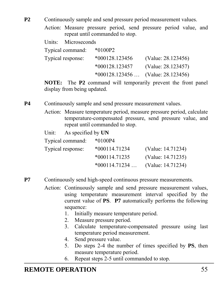**P2** Continuously sample and send pressure period measurement values.

Action: Measure pressure period, send pressure period value, and repeat until commanded to stop.

Units: Microseconds

| Typical command:  | $*0100P2$        |                                     |
|-------------------|------------------|-------------------------------------|
| Typical response: | $*000128.123456$ | (Value: 28.123456)                  |
|                   | *000128.123457   | (Value: 28.123457)                  |
|                   |                  | $*000128.123456$ (Value: 28.123456) |

**NOTE:** The **P2** command will temporarily prevent the front panel display from being updated.

**P4** Continuously sample and send pressure measurement values.

Action: Measure temperature period, measure pressure period, calculate temperature-compensated pressure, send pressure value, and repeat until commanded to stop.

| Unit: As specified by UN |                 |                   |
|--------------------------|-----------------|-------------------|
| Typical command:         | $*0100P4$       |                   |
| Typical response:        | $*000114.71234$ | (Value: 14.71234) |
|                          | $*000114.71235$ | (Value: 14.71235) |
|                          | $*000114.71234$ | (Value: 14.71234) |

- **P7** Continuously send high-speed continuous pressure measurements.
	- Action: Continuously sample and send pressure measurement values, using temperature measurement interval specified by the current value of **PS**. **P7** automatically performs the following sequence:
		- 1. Initially measure temperature period.
		- 2. Measure pressure period.
		- 3. Calculate temperature-compensated pressure using last temperature period measurement.
		- 4. Send pressure value.
		- 5. Do steps 2-4 the number of times specified by **PS**, then measure temperature period.
		- 6. Repeat steps 2-5 until commanded to stop.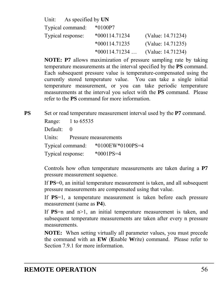| Unit: As specified by $UN$ |                 |                   |
|----------------------------|-----------------|-------------------|
| Typical command:           | $*0100P7$       |                   |
| Typical response:          | $*000114.71234$ | (Value: 14.71234) |
|                            | $*000114.71235$ | (Value: 14.71235) |
|                            | $*000114.71234$ | (Value: 14.71234) |

**NOTE: P7** allows maximization of pressure sampling rate by taking temperature measurements at the interval specified by the **PS** command. Each subsequent pressure value is temperature-compensated using the currently stored temperature value. You can take a single initial temperature measurement, or you can take periodic temperature measurements at the interval you select with the **PS** command. Please refer to the **PS** command for more information.

**PS** Set or read temperature measurement interval used by the **P7** command. Range: 1 to 65535 Default: 0 Units: Pressure measurements Typical command: \*0100EW\*0100PS=4 Typical response: \*0001PS=4

> Controls how often temperature measurements are taken during a **P7** pressure measurement sequence.

> If **PS**=0, an initial temperature measurement is taken, and all subsequent pressure measurements are compensated using that value.

> If **PS**=1, a temperature measurement is taken before each pressure measurement (same as **P4**).

> If **PS**=n and n>1, an initial temperature measurement is taken, and subsequent temperature measurements are taken after every n pressure measurements.

> **NOTE:** When setting virtually all parameter values, you must precede the command with an **EW** (**E**nable **W**rite) command. Please refer to Section [7.9.1](#page-47-1) for more information.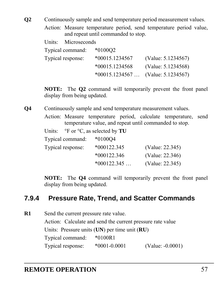- **Q2** Continuously sample and send temperature period measurement values.
	- Action: Measure temperature period, send temperature period value, and repeat until commanded to stop.

| Units: | Microseconds |
|--------|--------------|
|--------|--------------|

| Typical command:  | $*010002$        |                                     |
|-------------------|------------------|-------------------------------------|
| Typical response: | $*00015.1234567$ | (Value: $5.1234567$ )               |
|                   | $*00015.1234568$ | (Value: 5.1234568)                  |
|                   |                  | $*00015.1234567$ (Value: 5.1234567) |

**NOTE:** The **Q2** command will temporarily prevent the front panel display from being updated.

**Q4** Continuously sample and send temperature measurement values.

- Action: Measure temperature period, calculate temperature, send temperature value, and repeat until commanded to stop.
- Units: <sup>o</sup>F or <sup>o</sup>C, as selected by **TU**

| Typical command:  | $*010004$     |                 |
|-------------------|---------------|-----------------|
| Typical response: | $*000122.345$ | (Value: 22.345) |
|                   | $*000122.346$ | (Value: 22.346) |
|                   | $*000122.345$ | (Value: 22.345) |
|                   |               |                 |

**NOTE:** The **Q4** command will temporarily prevent the front panel display from being updated.

### **7.9.4 Pressure Rate, Trend, and Scatter Commands**

**R1** Send the current pressure rate value. Action: Calculate and send the current pressure rate value Units: Pressure units (**UN**) per time unit (**RU**) Typical command: \*0100R1 Typical response: \*0001-0.0001 (Value: -0.0001)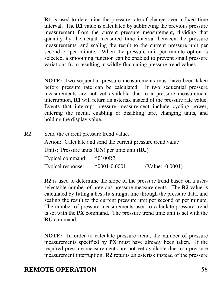**R1** is used to determine the pressure rate of change over a fixed time interval. The **R1** value is calculated by subtracting the previous pressure measurement from the current pressure measurement, dividing that quantity by the actual measured time interval between the pressure measurements, and scaling the result to the current pressure unit per second or per minute. When the pressure unit per minute option is selected, a smoothing function can be enabled to prevent small pressure variations from resulting in wildly fluctuating pressure trend values.

**NOTE:** Two sequential pressure measurements must have been taken before pressure rate can be calculated. If two sequential pressure measurements are not yet available due to a pressure measurement interruption, **R1** will return an asterisk instead of the pressure rate value. Events that interrupt pressure measurement include cycling power, entering the menu, enabling or disabling tare, changing units, and holding the display value.

**R2** Send the current pressure trend value.

Action: Calculate and send the current pressure trend value Units: Pressure units (**UN**) per time unit (**RU**) Typical command: \*0100R2 Typical response: \*0001-0.0001 (Value: -0.0001)

**R2** is used to determine the slope of the pressure trend based on a userselectable number of previous pressure measurements. The **R2** value is calculated by fitting a best-fit straight line through the pressure data, and scaling the result to the current pressure unit per second or per minute. The number of pressure measurements used to calculate pressure trend is set with the **PX** command. The pressure trend time unit is set with the **RU** command.

**NOTE:** In order to calculate pressure trend, the number of pressure measurements specified by **PX** must have already been taken. If the required pressure measurements are not yet available due to a pressure measurement interruption, **R2** returns an asterisk instead of the pressure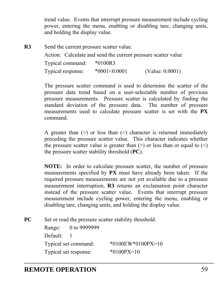trend value. Events that interrupt pressure measurement include cycling power, entering the menu, enabling or disabling tare, changing units, and holding the display value.

**R3** Send the current pressure scatter value. Action: Calculate and send the current pressure scatter value Typical command: \*0100R3 Typical response: \*0001<0.0001 (Value: 0.0001)

> The pressure scatter command is used to determine the scatter of the pressure data trend based on a user-selectable number of previous pressure measurements. Pressure scatter is calculated by finding the standard deviation of the pressure data. The number of pressure measurements used to calculate pressure scatter is set with the **PX** command.

> A greater than  $(>)$  or less than  $($ ) character is returned immediately preceding the pressure scatter value. This character indicates whether the pressure scatter value is greater than  $(>)$  or less than or equal to  $(>)$ the pressure scatter stability threshold (**PC**).

> **NOTE:** In order to calculate pressure scatter, the number of pressure measurements specified by **PX** must have already been taken. If the required pressure measurements are not yet available due to a pressure measurement interruption, **R3** returns an exclamation point character instead of the pressure scatter value. Events that interrupt pressure measurement include cycling power, entering the menu, enabling or disabling tare, changing units, and holding the display value.

**PC** Set or read the pressure scatter stability threshold.

| Range:   | 0 to 9999999          |                          |
|----------|-----------------------|--------------------------|
| Default: |                       |                          |
|          | Typical set command:  | $*0100$ EW $*0100$ PX=10 |
|          | Typical set response: | $*0100PX=10$             |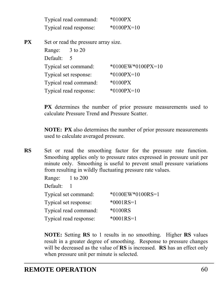| Typical read command:  | $*0100PX$    |
|------------------------|--------------|
| Typical read response: | $*0100PX=10$ |
|                        |              |

**PX** Set or read the pressure array size. Range: 3 to 20 Default: 5 Typical set command: \*0100EW\*0100PX=10 Typical set response: \*0100PX=10 Typical read command: \*0100PX Typical read response: \*0100PX=10

> **PX** determines the number of prior pressure measurements used to calculate Pressure Trend and Pressure Scatter.

> **NOTE: PX** also determines the number of prior pressure measurements used to calculate averaged pressure.

**RS** Set or read the smoothing factor for the pressure rate function. Smoothing applies only to pressure rates expressed in pressure unit per minute only. Smoothing is useful to prevent small pressure variations from resulting in wildly fluctuating pressure rate values.

| Range: 1 to 200 |                        |                  |
|-----------------|------------------------|------------------|
| Default:        |                        |                  |
|                 | Typical set command:   | *0100EW*0100RS=1 |
|                 | Typical set response:  | $*0001RS = 1$    |
|                 | Typical read command:  | *0100RS          |
|                 | Typical read response: | $*0001RS = 1$    |

**NOTE:** Setting **RS** to 1 results in no smoothing. Higher **RS** values result in a greater degree of smoothing. Response to pressure changes will be decreased as the value of **RS** is increased. **RS** has an effect only when pressure unit per minute is selected.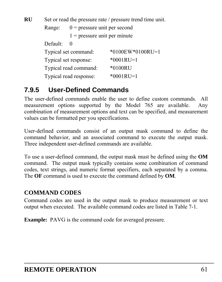**RU** Set or read the pressure rate / pressure trend time unit. Range:  $0 =$  pressure unit per second  $1$  = pressure unit per minute Default: 0 Typical set command: \*0100EW\*0100RU=1 Typical set response: \*0001RU=1 Typical read command: \*0100RU Typical read response: \*0001RU=1

## **7.9.5 User-Defined Commands**

The user-defined commands enable the user to define custom commands. All measurement options supported by the Model 765 are available. Any combination of measurement options and text can be specified, and measurement values can be formatted per you specifications.

User-defined commands consist of an output mask command to define the command behavior, and an associated command to execute the output mask. Three independent user-defined commands are available.

To use a user-defined command, the output mask must be defined using the **OM** command. The output mask typically contains some combination of command codes, text strings, and numeric format specifiers, each separated by a comma. The **OF** command is used to execute the command defined by **OM**.

### **COMMAND CODES**

Command codes are used in the output mask to produce measurement or text output when executed. The available command codes are listed in [Table 7-1](#page-61-0).

**Example:** PAVG is the command code for averaged pressure.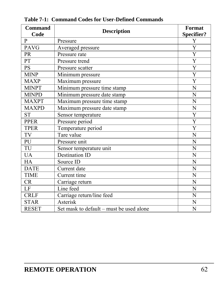<span id="page-61-0"></span>

| Command<br>Code | <b>Description</b>                            | Format<br><b>Specifier?</b> |
|-----------------|-----------------------------------------------|-----------------------------|
| P               | Pressure                                      | Y                           |
| <b>PAVG</b>     | Averaged pressure                             | Y                           |
| <b>PR</b>       | Pressure rate                                 | Y                           |
| PT              | Pressure trend                                | $\overline{\mathrm{Y}}$     |
| PS              | Pressure scatter                              | Y                           |
| <b>MINP</b>     | Minimum pressure                              | Y                           |
| <b>MAXP</b>     | Maximum pressure                              | Y                           |
| <b>MINPT</b>    | Minimum pressure time stamp                   | N                           |
| <b>MINPD</b>    | Minimum pressure date stamp                   | N                           |
| <b>MAXPT</b>    | Maximum pressure time stamp                   | N                           |
| <b>MAXPD</b>    | N<br>Maximum pressure date stamp              |                             |
| <b>ST</b>       | Sensor temperature<br>Y                       |                             |
| <b>PPER</b>     | Y<br>Pressure period                          |                             |
| <b>TPER</b>     | Temperature period<br>Y                       |                             |
| TV              | Tare value<br>N                               |                             |
| PU              | Pressure unit<br>N                            |                             |
| TU              | Sensor temperature unit<br>N                  |                             |
| <b>UA</b>       | <b>Destination ID</b><br>N                    |                             |
| <b>HA</b>       | Source ID                                     | N                           |
| <b>DATE</b>     | Current date                                  | N                           |
| <b>TIME</b>     | Current time<br>N                             |                             |
| <b>CR</b>       | Carriage return<br>N                          |                             |
| LF              | Line feed                                     | N                           |
| <b>CRLF</b>     | Carriage return/line feed                     | N                           |
| <b>STAR</b>     | Asterisk                                      | N                           |
| <b>RESET</b>    | N<br>Set mask to default – must be used alone |                             |

**Table 7-1: Command Codes for User-Defined Commands**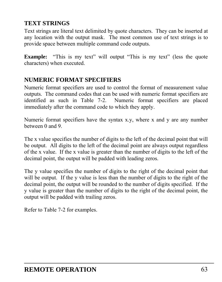### **TEXT STRINGS**

Text strings are literal text delimited by quote characters. They can be inserted at any location with the output mask. The most common use of text strings is to provide space between multiple command code outputs.

**Example:** "This is my text" will output "This is my text" (less the quote characters) when executed.

### **NUMERIC FORMAT SPECIFIERS**

Numeric format specifiers are used to control the format of measurement value outputs. The command codes that can be used with numeric format specifiers are identified as such in [Table 7-2.](#page-63-0) Numeric format specifiers are placed immediately after the command code to which they apply.

Numeric format specifiers have the syntax x.y, where x and y are any number between 0 and 9.

The x value specifies the number of digits to the left of the decimal point that will be output. All digits to the left of the decimal point are always output regardless of the x value. If the x value is greater than the number of digits to the left of the decimal point, the output will be padded with leading zeros.

The y value specifies the number of digits to the right of the decimal point that will be output. If the y value is less than the number of digits to the right of the decimal point, the output will be rounded to the number of digits specified. If the y value is greater than the number of digits to the right of the decimal point, the output will be padded with trailing zeros.

Refer to [Table 7-2](#page-63-0) for examples.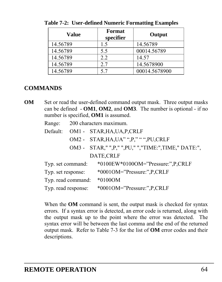| Value    | Format<br>specifier | Output        |
|----------|---------------------|---------------|
| 14.56789 | 1.5                 | 14.56789      |
| 14.56789 | 5.5                 | 00014.56789   |
| 14.56789 | 2.2                 | 14.57         |
| 14.56789 | 2.7                 | 14.5678900    |
| 14.56789 | 5.7                 | 00014.5678900 |

<span id="page-63-0"></span> **Table 7-2: User-defined Numeric Formatting Examples** 

#### **COMMANDS**

**OM** Set or read the user-defined command output mask. Three output masks can be defined - **OM1**, **OM2**, and **OM3**. The number is optional - if no number is specified, **OM1** is assumed.

| Default:           |                     | OM1 - STAR, HA, UA, P, CRLF                        |
|--------------------|---------------------|----------------------------------------------------|
|                    |                     | OM2 - STAR, HA, UA" ", P," " ", PU, CRLF           |
|                    |                     | OM3 - STAR," ",P," ",PU," ","TIME:",TIME," DATE:", |
|                    |                     | DATE, CRLF                                         |
|                    | Typ. set command:   | *0100EW*0100OM="Pressure:", P, CRLF                |
| Typ. set response: |                     | *0001OM="Pressure:", P, CRLF                       |
|                    | Typ. read command:  | $*0100$ OM                                         |
|                    | Typ. read response: | *0001OM="Pressure:",P,CRLF                         |

When the **OM** command is sent, the output mask is checked for syntax errors. If a syntax error is detected, an error code is returned, along with the output mask up to the point where the error was detected. The syntax error will be between the last comma and the end of the returned output mask. Refer to [Table 7-3](#page-64-0) for the list of **OM** error codes and their descriptions.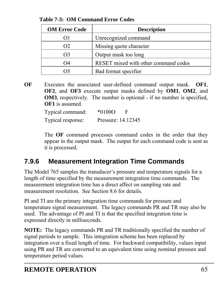| <b>OM Error Code</b> | <b>Description</b>                   |
|----------------------|--------------------------------------|
|                      | Unrecognized command                 |
| O2                   | Missing quote character              |
| O3                   | Output mask too long                 |
| Ω4                   | RESET mixed with other command codes |
|                      | Bad format specifier                 |

<span id="page-64-0"></span> **Table 7-3: OM Command Error Codes** 

**OF** Executes the associated user-defined command output mask. **OF1**, **OF2**, and **OF3** execute output masks defined by **OM1**, **OM2**, and **OM3**, respectively. The number is optional - if no number is specified, **OF1** is assumed.

> Typical command: \*0100O F Typical response: Pressure: 14.12345

The **OF** command processes command codes in the order that they appear in the output mask. The output for each command code is sent as it is processed.

## **7.9.6 Measurement Integration Time Commands**

The Model 765 samples the transducer's pressure and temperature signals for a length of time specified by the measurement integration time commands. The measurement integration time has a direct affect on sampling rate and measurement resolution. See Section [8.6](#page-102-0) for details.

PI and TI are the primary integration time commands for pressure and temperature signal measurement. The legacy commands PR and TR may also be used. The advantage of PI and TI is that the specified integration time is expressed directly in milliseconds.

**NOTE:** The legacy commands PR and TR traditionally specified the number of signal periods to sample. This integration scheme has been replaced by integration over a fixed length of time. For backward compatibility, values input using PR and TR are converted to an equivalent time using nominal pressure and temperature period values.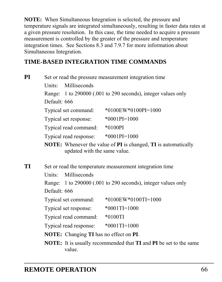**NOTE:** When Simultaneous Integration is selected, the pressure and temperature signals are integrated simultaneously, resulting in faster data rates at a given pressure resolution. In this case, the time needed to acquire a pressure measurement is controlled by the greater of the pressure and temperature integration times. See Sections [8.3](#page-99-0) and [7.9.7](#page-67-0) for more information about Simultaneous Integration.

### **TIME-BASED INTEGRATION TIME COMMANDS**

| PI |                        | Set or read the pressure measurement integration time                        |  |
|----|------------------------|------------------------------------------------------------------------------|--|
|    | Milliseconds<br>Units: |                                                                              |  |
|    |                        | Range: 1 to 290000 (.001 to 290 seconds), integer values only                |  |
|    | Default: 666           |                                                                              |  |
|    | Typical set command:   | $*0100$ EW $*0100$ PI=1000                                                   |  |
|    | Typical set response:  | $*0001PI=1000$                                                               |  |
|    | Typical read command:  | $*0100PI$                                                                    |  |
|    | Typical read response: | $*0001PI=1000$                                                               |  |
|    |                        | <b>NOTE</b> . Whenever the value of <b>DI</b> is changed. TI is outcomotical |  |

**NOTE:** Whenever the value of **PI** is changed, **TI** is automatically updated with the same value.

**TI** Set or read the temperature measurement integration time Units: Milliseconds Range: 1 to 290000 (.001 to 290 seconds), integer values only Default: 666 Typical set command: \*0100EW\*0100TI=1000 Typical set response: \*0001TI=1000 Typical read command: \*0100TI Typical read response: \*0001TI=1000 **NOTE:** Changing **TI** has no effect on **PI**.

**NOTE:** It is usually recommended that **TI** and **PI** be set to the same value.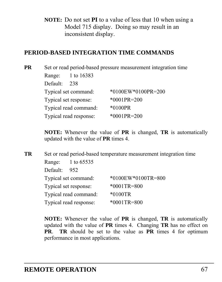**NOTE:** Do not set **PI** to a value of less that 10 when using a Model 715 display. Doing so may result in an inconsistent display.

#### **PERIOD-BASED INTEGRATION TIME COMMANDS**

**PR** Set or read period-based pressure measurement integration time Range: 1 to 16383 Default: 238 Typical set command: \*0100EW\*0100PR=200 Typical set response: \*0001PR=200 Typical read command: \*0100PR Typical read response: \*0001PR=200

> **NOTE:** Whenever the value of **PR** is changed, **TR** is automatically updated with the value of **PR** times 4.

**TR** Set or read period-based temperature measurement integration time Range: 1 to 65535 Default: 952 Typical set command: \*0100EW\*0100TR=800 Typical set response: \*0001TR=800 Typical read command: \*0100TR Typical read response: \*0001TR=800

> **NOTE:** Whenever the value of **PR** is changed, **TR** is automatically updated with the value of **PR** times 4. Changing **TR** has no effect on **PR**. **TR** should be set to the value as **PR** times 4 for optimum performance in most applications.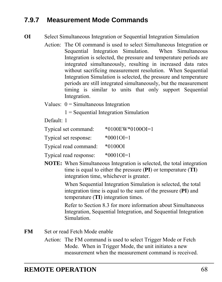## <span id="page-67-0"></span>**7.9.7 Measurement Mode Commands**

**OI** Select Simultaneous Integration or Sequential Integration Simulation

- Action: The OI command is used to select Simultaneous Integration or Sequential Integration Simulation. When Simultaneous Integration is selected, the pressure and temperature periods are integrated simultaneously, resulting in increased data rates without sacrificing measurement resolution. When Sequential Integration Simulation is selected, the pressure and temperature periods are still integrated simultaneously, but the measurement timing is similar to units that only support Sequential Integration.
- Values:  $0 =$  Simultaneous Integration

1 = Sequential Integration Simulation

Default: 1

| Typical set command:   | $*0100$ EW $*0100$ OI=1 |
|------------------------|-------------------------|
| Typical set response:  | $*0001OI=1$             |
| Typical read command:  | $*01000I$               |
| Typical read response: | $*000101=1$             |

**NOTE:** When Simultaneous Integration is selected, the total integration time is equal to either the pressure (**PI**) or temperature (**TI**) integration time, whichever is greater.

> When Sequential Integration Simulation is selected, the total integration time is equal to the sum of the pressure (**PI**) and temperature (**TI**) integration times.

Refer to Section [8.3](#page-99-0) for more information about Simultaneous Integration, Sequential Integration, and Sequential Integration Simulation.

- **FM** Set or read Fetch Mode enable
	- Action: The FM command is used to select Trigger Mode or Fetch Mode. When in Trigger Mode, the unit initiates a new measurement when the measurement command is received.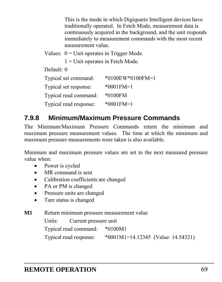This is the mode in which Digiquartz Intelligent devices have traditionally operated. In Fetch Mode, measurement data is continuously acquired in the background, and the unit responds immediately to measurement commands with the most recent measurement value.

Values:  $0 =$  Unit operates in Trigger Mode.

1 = Unit operates in Fetch Mode.

Default: 0

| Typical set command:   | $*0100$ EW $*0100$ FM=1 |
|------------------------|-------------------------|
| Typical set response:  | $*0001$ FM=1            |
| Typical read command:  | $*0100$ FM              |
| Typical read response: | $*0001$ FM=1            |

# **7.9.8 Minimum/Maximum Pressure Commands**

The Minimum/Maximum Pressure Commands return the minimum and maximum pressure measurement values. The time at which the minimum and maximum pressure measurements were taken is also available.

Minimum and maximum pressure values are set to the next measured pressure value when:

- Power is cycled
- MR command is sent
- Calibration coefficients are changed
- PA or PM is changed
- Pressure units are changed
- Tare status is changed

**M1** Return minimum pressure measurement value

Units: Current pressure unit

Typical read command: \*0100M1

Typical read response: \*0001M1=14.12345 (Value: 14.54321)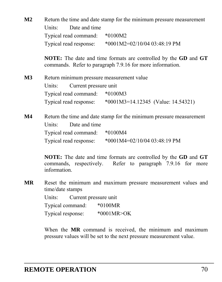**M2** Return the time and date stamp for the minimum pressure measurement Units: Date and time Typical read command: \*0100M2 Typical read response: \*0001M2=02/10/04 03:48:19 PM

> **NOTE:** The date and time formats are controlled by the **GD** and **GT** commands. Refer to paragraph [7.9.16](#page-84-0) for more information.

**M3** Return minimum pressure measurement value Units: Current pressure unit Typical read command: \*0100M3 Typical read response: \*0001M3=14.12345 (Value: 14.54321)

M4 Return the time and date stamp for the minimum pressure measurement Units: Date and time Typical read command: \*0100M4 Typical read response: \*0001M4=02/10/04 03:48:19 PM

> **NOTE:** The date and time formats are controlled by the **GD** and **GT** commands, respectively. Refer to paragraph [7.9.16](#page-84-0) for more information.

**MR** Reset the minimum and maximum pressure measurement values and time/date stamps

> Units: Current pressure unit Typical command: \*0100MR Typical response: \*0001MR>OK

When the **MR** command is received, the minimum and maximum pressure values will be set to the next pressure measurement value.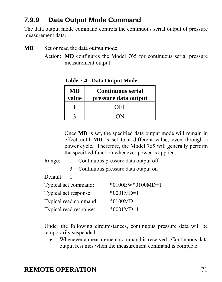# **7.9.9 Data Output Mode Command**

The data output mode command controls the continuous serial output of pressure measurement data.

**MD** Set or read the data output mode.

Action: **MD** configures the Model 765 for continuous serial pressure measurement output.

| MD<br>value | <b>Continuous serial</b><br>pressure data output |
|-------------|--------------------------------------------------|
|             | OFF                                              |
|             | ON                                               |

 **Table 7-4: Data Output Mode** 

Once **MD** is set, the specified data output mode will remain in effect until **MD** is set to a different value, even through a power cycle. Therefore, the Model 765 will generally perform the specified function whenever power is applied.

Range:  $1 =$  Continuous pressure data output off

3 = Continuous pressure data output on

Default: 1

| Typical set command:   | $*0100$ EW $*0100$ MD=1 |
|------------------------|-------------------------|
| Typical set response:  | $*0001MD=1$             |
| Typical read command:  | $*0100MD$               |
| Typical read response: | $*0001MD=1$             |

Under the following circumstances, continuous pressure data will be temporarily suspended:

 Whenever a measurement command is received. Continuous data output resumes when the measurement command is complete.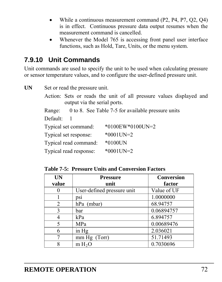- While a continuous measurement command (P2, P4, P7, Q2, Q4) is in effect. Continuous pressure data output resumes when the measurement command is cancelled.
- Whenever the Model 765 is accessing front panel user interface functions, such as Hold, Tare, Units, or the menu system.

## **7.9.10 Unit Commands**

Unit commands are used to specify the unit to be used when calculating pressure or sensor temperature values, and to configure the user-defined pressure unit.

UN Set or read the pressure unit. Action: Sets or reads the unit of all pressure values displayed and output via the serial ports. Range: 0 to 8. See [Table 7-5](#page-71-0) for available pressure units Default: 1 Typical set command: \*0100EW\*0100UN=2 Typical set response: \*0001UN=2 Typical read command: \*0100UN Typical read response: \*0001UN=2

<span id="page-71-0"></span> **Table 7-5: Pressure Units and Conversion Factors** 

| <b>UN</b> | <b>Pressure</b>            | Conversion  |
|-----------|----------------------------|-------------|
| value     | unit                       | factor      |
|           | User-defined pressure unit | Value of UF |
|           | DS1                        | 1.0000000   |
| 2         | $hPa$ (mbar)               | 68.94757    |
| 3         | bar                        | 0.06894757  |
|           | kPa                        | 6.894757    |
| 5         | MPa                        | 0.00689476  |
| 6         | in Hg                      | 2.036021    |
|           | mm Hg (Torr)               | 51.71493    |
|           | m H <sub>2</sub> O         | 0.7030696   |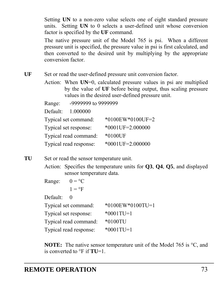Setting **UN** to a non-zero value selects one of eight standard pressure units. Setting **UN** to 0 selects a user-defined unit whose conversion factor is specified by the **UF** command.

The native pressure unit of the Model 765 is psi. When a different pressure unit is specified, the pressure value in psi is first calculated, and then converted to the desired unit by multiplying by the appropriate conversion factor.

- UF Set or read the user-defined pressure unit conversion factor.
	- Action: When **UN**=0, calculated pressure values in psi are multiplied by the value of **UF** before being output, thus scaling pressure values in the desired user-defined pressure unit.

Range: -9999999 to 9999999

Default: 1.000000

| Typical set command:   | $*0100$ EW $*0100$ UF=2 |
|------------------------|-------------------------|
| Typical set response:  | $*0001$ UF=2.000000     |
| Typical read command:  | *0100UF                 |
| Typical read response: | $*0001$ UF=2.000000     |

- **TU** Set or read the sensor temperature unit.
	- Action: Specifies the temperature units for **Q3**, **Q4**, **Q5**, and displayed sensor temperature data.
	- Range:  $0 = \degree C$ 
		- $1 = \circ F$

Default: 0

| Typical set command:   | $*0100$ EW $*0100$ TU=1 |
|------------------------|-------------------------|
| Typical set response:  | $*0001$ TU=1            |
| Typical read command:  | $*0100T$ U              |
| Typical read response: | $*0001$ TU=1            |

**NOTE:** The native sensor temperature unit of the Model 765 is <sup>o</sup>C, and is converted to  ${}^{\circ}$ F if **TU**=1.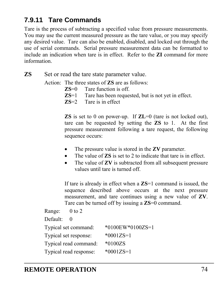### **7.9.11 Tare Commands**

Tare is the process of subtracting a specified value from pressure measurements. You may use the current measured pressure as the tare value, or you may specify any desired value. Tare can also be enabled, disabled, and locked out through the use of serial commands. Serial pressure measurement data can be formatted to include an indication when tare is in effect. Refer to the **ZI** command for more information.

**ZS** Set or read the tare state parameter value.

Action: The three states of **ZS** are as follows:

- **ZS**=0 Tare function is off.<br>**ZS**=1 Tare has been reques
- Tare has been requested, but is not yet in effect.
- **ZS**=2 Tare is in effect

**ZS** is set to 0 on power-up. If **ZL**=0 (tare is not locked out), tare can be requested by setting the **ZS** to 1. At the first pressure measurement following a tare request, the following sequence occurs:

- The pressure value is stored in the **ZV** parameter.
- The value of **ZS** is set to 2 to indicate that tare is in effect.
- The value of **ZV** is subtracted from all subsequent pressure values until tare is turned off.

If tare is already in effect when a **ZS**=1 command is issued, the sequence described above occurs at the next pressure measurement, and tare continues using a new value of **ZV**. Tare can be turned off by issuing a **ZS**=0 command.

```
Range: 0 to 2
Default: 0
Typical set command: *0100EW*0100ZS=1 
Typical set response: *0001ZS=1 
Typical read command: *0100ZS 
Typical read response: *0001ZS=1
```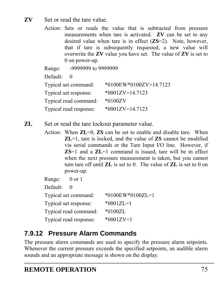#### **ZV** Set or read the tare value.

Action: Sets or reads the value that is subtracted from pressure measurements when tare is activated. **ZV** can be set to any desired value when tare is in effect (**ZS**=2). Note, however, that if tare is subsequently requested, a new value will overwrite the **ZV** value you have set. The value of **ZV** is set to 0 on power-up.

Range: -9999999 to 9999999 Default: 0 Typical set command: \*0100EW\*0100ZV=14.7123 Typical set response: \*0001ZV=14.7123 Typical read command: \*0100ZV Typical read response: \*0001ZV=14.7123

**ZL** Set or read the tare lockout parameter value.

Action: When **ZL**=0, **ZS** can be set to enable and disable tare. When **ZL**=1, tare is locked, and the value of **ZS** cannot be modified via serial commands or the Tare Input I/O line. However, if **ZS**=1 and a **ZL**=1 command is issued, tare will be in effect when the next pressure measurement is taken, but you cannot turn tare off until **ZL** is set to 0. The value of **ZL** is set to 0 on power-up.

| Range: 0 or 1         |                        |                         |
|-----------------------|------------------------|-------------------------|
| Default:              | $\theta$               |                         |
|                       | Typical set command:   | $*0100$ EW $*0100$ ZL=1 |
| Typical set response: |                        | $*0001ZL=1$             |
|                       | Typical read command:  | $*0100ZL$               |
|                       | Typical read response: | $*0001ZV=1$             |

# **7.9.12 Pressure Alarm Commands**

The pressure alarm commands are used to specify the pressure alarm setpoints. Whenever the current pressure exceeds the specified setpoints, an audible alarm sounds and an appropriate message is shown on the display.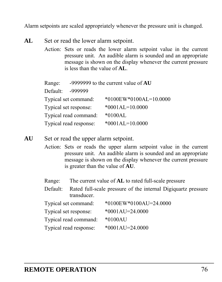Alarm setpoints are scaled appropriately whenever the pressure unit is changed.

- AL Set or read the lower alarm setpoint.
	- Action: Sets or reads the lower alarm setpoint value in the current pressure unit. An audible alarm is sounded and an appropriate message is shown on the display whenever the current pressure is less than the value of **AL**.

| Range:   |                        | -9999999 to the current value of $AU$ |
|----------|------------------------|---------------------------------------|
| Default: | -999999                |                                       |
|          | Typical set command:   | *0100EW*0100AL=10.0000                |
|          | Typical set response:  | $*0001AL=10.0000$                     |
|          | Typical read command:  | $*0100AL$                             |
|          | Typical read response: | $*0001AL=10.0000$                     |

- **AU** Set or read the upper alarm setpoint.
	- Action: Sets or reads the upper alarm setpoint value in the current pressure unit. An audible alarm is sounded and an appropriate message is shown on the display whenever the current pressure is greater than the value of **AU**.
	- Range: The current value of **AL** to rated full-scale pressure
	- Default: Rated full-scale pressure of the internal Digiquartz pressure transducer.

<span id="page-75-0"></span>

| Typical set command:   | *0100EW*0100AU=24.0000 |
|------------------------|------------------------|
| Typical set response:  | $*0001AU=24.0000$      |
| Typical read command:  | $*0100AU$              |
| Typical read response: | $*0001AU=24.0000$      |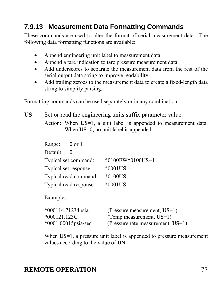### **7.9.13 Measurement Data Formatting Commands**

These commands are used to alter the format of serial measurement data. The following data formatting functions are available:

- Append engineering unit label to measurement data.
- Append a tare indication to tare pressure measurement data.
- Add underscores to separate the measurement data from the rest of the serial output data string to improve readability.
- Add trailing zeroes to the measurement data to create a fixed-length data string to simplify parsing.

Formatting commands can be used separately or in any combination.

US Set or read the engineering units suffix parameter value.

Action: When **US**=1, a unit label is appended to measurement data. When **US**=0, no unit label is appended.

| Range:   | $0$ or $1$             |                  |
|----------|------------------------|------------------|
| Default: | $\theta$               |                  |
|          | Typical set command:   | *0100EW*0100US=1 |
|          | Typical set response:  | $*0001US = 1$    |
|          | Typical read command:  | $*0100US$        |
|          | Typical read response: | $*0001US = 1$    |

Examples:

| *000114.71234psia      | (Pressure measurement, $US=1$ )      |
|------------------------|--------------------------------------|
| $*000121.123C$         | (Temp measurement, $US=1$ )          |
| $*0001.00015$ psia/sec | (Pressure rate measurement, $US=1$ ) |

When **US**=1, a pressure unit label is appended to pressure measurement values according to the value of **UN**: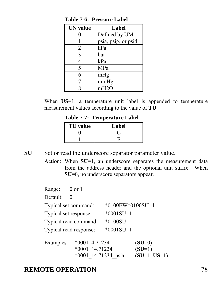| <b>UN</b> value | Label               |
|-----------------|---------------------|
|                 | Defined by UM       |
|                 | psia, psig, or psid |
| 2               | hPa                 |
| 3               | bar                 |
|                 | kPa                 |
| 5               | MPa                 |
| 6               | inHg                |
|                 | mmHg                |
|                 | mH2O                |

**Table 7-6: Pressure Label** 

When US=1, a temperature unit label is appended to temperature measurement values according to the value of **TU**:

 **Table 7-7: Temperature Label** 

| <b>TU</b> value | Label |
|-----------------|-------|
|                 |       |
|                 |       |

**SU** Set or read the underscore separator parameter value.

Action: When **SU**=1, an underscore separates the measurement data from the address header and the optional unit suffix. When **SU**=0, no underscore separators appear.

| Range:                | 0 or 1                 |                  |                |
|-----------------------|------------------------|------------------|----------------|
| Default:              | 0                      |                  |                |
|                       | Typical set command:   | *0100EW*0100SU=1 |                |
| Typical set response: |                        | $*0001SU=1$      |                |
|                       | Typical read command:  | $*0100SU$        |                |
|                       | Typical read response: | $*0001SU=1$      |                |
| Examples:             | *000114.71234          |                  | $(SU=0)$       |
|                       | *0001 14.71234         |                  | $(SU=1)$       |
|                       | *0001 14.71234 psia    |                  | $(SU=1, US=1)$ |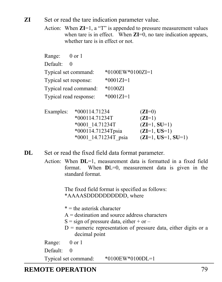**ZI** Set or read the tare indication parameter value.

Action: When **ZI**=1, a "T" is appended to pressure measurement values when tare is in effect. When **ZI**=0, no tare indication appears, whether tare is in effect or not.

| Range:                 | 0 or 1          |                  |          |
|------------------------|-----------------|------------------|----------|
| Default:<br>0          |                 |                  |          |
| Typical set command:   |                 | *0100EW*0100ZI=1 |          |
| Typical set response:  |                 | $*0001ZI=1$      |          |
| Typical read command:  |                 | $*0100ZI$        |          |
| Typical read response: |                 | $*0001ZI=1$      |          |
| Examples:              | $*000114.71234$ |                  | $(ZI=0)$ |
|                        | $*00011471224T$ |                  | $(TI-1)$ |

| Examples: | $*000114.71234$        | $(ZI=0)$             |
|-----------|------------------------|----------------------|
|           | $*000114.71234T$       | $(ZI=1)$             |
|           | $*0001$ 14.71234T      | $(ZI=1, SU=1)$       |
|           | $*000114.71234$ Tpsia  | $(ZI=1, US=1)$       |
|           | $*0001$ 14.71234T psia | $(ZI=1, US=1, SU=1)$ |
|           |                        |                      |

**DL** Set or read the fixed field data format parameter.

Action: When **DL**=1, measurement data is formatted in a fixed field format. When **D**L=0, measurement data is given in the standard format.

> The fixed field format is specified as follows: \*AAAASDDDDDDDDDD, where

- $* =$  the asterisk character
- $A =$  destination and source address characters
- $S = sign of pressure data, either + or -$
- $D$  = numeric representation of pressure data, either digits or a decimal point
- Range: 0 or 1
- Default: 0

Typical set command: \*0100EW\*0100DL=1

#### **REMOTE OPERATION** 79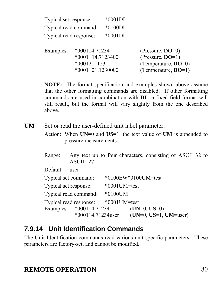| Typical set response:  | $*0001DI = 1$ |
|------------------------|---------------|
| Typical read command:  | $*0100DI.$    |
| Typical read response: | $*0001DI = 1$ |

 Examples: \*000114.71234 (Pressure, **DO**=0) \*0001+14.7123400 (Pressure, **DO**=1) \*000121. 123 (Temperature, **DO**=0) \*0001+21.1230000 (Temperature, **DO**=1)

**NOTE:** The format specification and examples shown above assume that the other formatting commands are disabled. If other formatting commands are used in combination with **DL**, a fixed field format will still result, but the format will vary slightly from the one described above.

UM Set or read the user-defined unit label parameter.

Action: When **UN**=0 and **US**=1, the text value of **UM** is appended to pressure measurements.

| Range: |                   |  |  | Any text up to four characters, consisting of ASCII 32 to |  |  |  |
|--------|-------------------|--|--|-----------------------------------------------------------|--|--|--|
|        | <b>ASCII 127.</b> |  |  |                                                           |  |  |  |

Default: user

| Typical set command:    |                      |                 | *0100EW*0100UM=test     |  |
|-------------------------|----------------------|-----------------|-------------------------|--|
| Typical set response:   |                      | $*0001$ UM=test |                         |  |
| Typical read command:   |                      | $*0100$ UM      |                         |  |
| Typical read response:  |                      | $*0001$ UM=test |                         |  |
| Examples: *000114.71234 |                      |                 | $(UN=0, US=0)$          |  |
|                         | $*000114.71234$ user |                 | $(UN=0, US=1, UM=user)$ |  |

### **7.9.14 Unit Identification Commands**

The Unit Identification commands read various unit-specific parameters. These parameters are factory-set, and cannot be modified.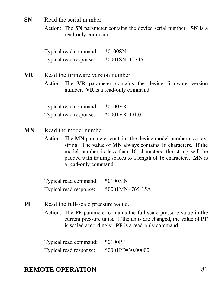**SN** Read the serial number.

Action: The **SN** parameter contains the device serial number. **SN** is a read-only command.

Typical read command: \*0100SN Typical read response: \*0001SN=12345

**VR** Read the firmware version number.

Action: The **VR** parameter contains the device firmware version number. **VR** is a read-only command.

Typical read command: \*0100VR Typical read response: \*0001VR=D1.02

- **MN** Read the model number.
	- Action: The **MN** parameter contains the device model number as a text string. The value of **MN** always contains 16 characters. If the model number is less than 16 characters, the string will be padded with trailing spaces to a length of 16 characters. **MN** is a read-only command.

Typical read command: \*0100MN Typical read response: \*0001MN=765-15A

**PF** Read the full-scale pressure value.

Action: The **PF** parameter contains the full-scale pressure value in the current pressure units. If the units are changed, the value of **PF** is scaled accordingly. **PF** is a read-only command.

Typical read command: \*0100PF Typical read response: \*0001PF=30.00000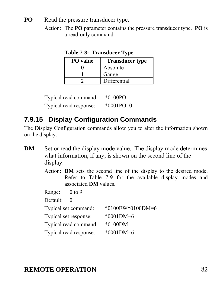- **PO** Read the pressure transducer type.
	- Action: The **PO** parameter contains the pressure transducer type. **PO** is a read-only command.

| <b>PO</b> value | <b>Transducer type</b> |
|-----------------|------------------------|
|                 | Absolute               |
|                 | Gauge                  |
|                 | Differential           |

 **Table 7-8: Transducer Type** 

Typical read command: \*0100PO Typical read response: \*0001PO=0

# **7.9.15 Display Configuration Commands**

The Display Configuration commands allow you to alter the information shown on the display.

- **DM** Set or read the display mode value. The display mode determines what information, if any, is shown on the second line of the display.
	- Action: **DM** sets the second line of the display to the desired mode. Refer to [Table 7-9](#page-82-0) for the available display modes and associated **DM** values.

Range: 0 to 9

Default: 0

Typical set command: \*0100EW\*0100DM=6 Typical set response: \*0001DM=6 Typical read command: \*0100DM Typical read response: \*0001DM=6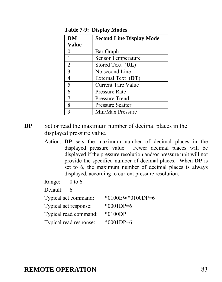<span id="page-82-0"></span>

| <b>DM</b>    | <b>Second Line Display Mode</b> |
|--------------|---------------------------------|
| <b>Value</b> |                                 |
|              | Bar Graph                       |
| 1            | <b>Sensor Temperature</b>       |
| 2            | Stored Text (UL)                |
| 3            | No second Line                  |
| 4            | External Text (DT)              |
| 5            | <b>Current Tare Value</b>       |
| 6            | Pressure Rate                   |
| 7            | Pressure Trend                  |
| 8            | <b>Pressure Scatter</b>         |
|              | Min/Max Pressure                |

**Table 7-9: Display Modes** 

- **DP** Set or read the maximum number of decimal places in the displayed pressure value.
	- Action: **DP** sets the maximum number of decimal places in the displayed pressure value. Fewer decimal places will be displayed if the pressure resolution and/or pressure unit will not provide the specified number of decimal places. When **DP** is set to 6, the maximum number of decimal places is always displayed, according to current pressure resolution.

Range: 0 to 6

Default: 6

| Typical set command:   | $*0100$ EW $*0100$ DP=6 |
|------------------------|-------------------------|
| Typical set response:  | $*0001DP=6$             |
| Typical read command:  | $*0100DP$               |
| Typical read response: | $*0001DP=6$             |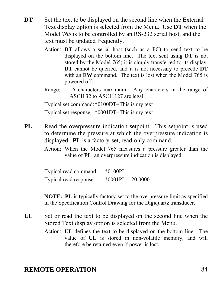- **DT** Set the text to be displayed on the second line when the External Text display option is selected from the Menu. Use **DT** when the Model 765 is to be controlled by an RS-232 serial host, and the text must be updated frequently.
	- Action: **DT** allows a serial host (such as a PC) to send text to be displayed on the bottom line. The text sent using **DT** is not stored by the Model 765; it is simply transferred to its display. **DT** cannot be queried, and it is not necessary to precede **DT** with an **EW** command. The text is lost when the Model 765 is powered off.
	- Range: 16 characters maximum. Any characters in the range of ASCII 32 to ASCII 127 are legal.

Typical set command: \*0100DT=This is my text

Typical set response: \*0001DT=This is my text

**PL** Read the overpressure indication setpoint. This setpoint is used to determine the pressure at which the overpressure indication is displayed. **PL** is a factory-set, read-only command.

> Action: When the Model 765 measures a pressure greater than the value of **PL**, an overpressure indication is displayed.

| Typical read command:  | $*0100PL$          |
|------------------------|--------------------|
| Typical read response: | $*0001PL=120.0000$ |

**NOTE: PL** is typically factory-set to the overpressure limit as specified in the Specification Control Drawing for the Digiquartz transducer.

- **UL** Set or read the text to be displayed on the second line when the Stored Text display option is selected from the Menu.
	- Action: **UL** defines the text to be displayed on the bottom line. The value of **UL** is stored in non-volatile memory, and will therefore be retained even if power is lost.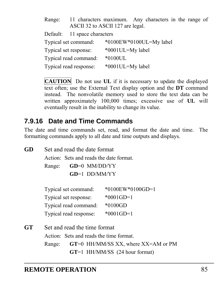Range: 11 characters maximum. Any characters in the range of ASCII 32 to ASCII 127 are legal.

Default: 11 space characters

| Typical set command:   | *0100EW*0100UL=My label |
|------------------------|-------------------------|
| Typical set response:  | *0001UL=My label        |
| Typical read command:  | $*0100UL$               |
| Typical read response: | *0001UL=My label        |

**CAUTION** Do not use **UL** if it is necessary to update the displayed text often; use the External Text display option and the **DT** command instead. The nonvolatile memory used to store the text data can be written approximately 100,000 times; excessive use of **UL** will eventually result in the inability to change its value.

### **7.9.16 Date and Time Commands**

**GD** Set and read the date format

The date and time commands set, read, and format the date and time. The

formatting commands apply to all date and time outputs and displays.

Action: Sets and reads the date format.

Range: **GD**=0 MM/DD/YY

**GD**=1 DD/MM/YY

| Typical set command:   | $*0100$ EW $*0100$ GD=1 |
|------------------------|-------------------------|
| Typical set response:  | $*0001$ GD=1            |
| Typical read command:  | $*0100GD$               |
| Typical read response: | $*0001$ GD=1            |

**GT** Set and read the time format Action: Sets and reads the time format. Range: **GT**=0 HH/MM/SS XX, where XX=AM or PM **GT**=1 HH/MM/SS (24 hour format)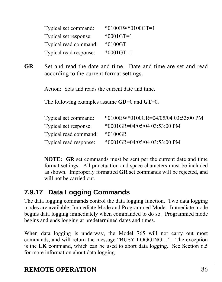| Typical set command:   | $*0100$ EW $*0100$ GT=1 |
|------------------------|-------------------------|
| Typical set response:  | $*0001$ GT=1            |
| Typical read command:  | $*0100 \text{GT}$       |
| Typical read response: | $*0001$ GT=1            |

**GR** Set and read the date and time. Date and time are set and read according to the current format settings.

Action: Sets and reads the current date and time.

The following examples assume **GD**=0 and **GT**=0.

| Typical set command:   | *0100EW*0100GR=04/05/04 03:53:00 PM |
|------------------------|-------------------------------------|
| Typical set response:  | $*0001$ GR=04/05/04 03:53:00 PM     |
| Typical read command:  | *0100GR                             |
| Typical read response: | *0001GR=04/05/04 03:53:00 PM        |

**NOTE: GR** set commands must be sent per the current date and time format settings. All punctuation and space characters must be included as shown. Improperly formatted **GR** set commands will be rejected, and will not be carried out.

### **7.9.17 Data Logging Commands**

The data logging commands control the data logging function. Two data logging modes are available: Immediate Mode and Programmed Mode. Immediate mode begins data logging immediately when commanded to do so. Programmed mode begins and ends logging at predetermined dates and times.

When data logging is underway, the Model 765 will not carry out most commands, and will return the message "BUSY LOGGING…". The exception is the **LK** command, which can be used to abort data logging. See Section [6.5](#page-31-0) for more information about data logging.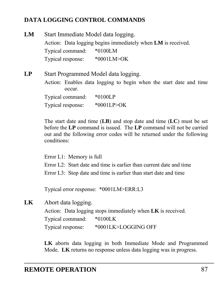#### **DATA LOGGING CONTROL COMMANDS**

| LМ | Start Immediate Model data logging. |                                                              |
|----|-------------------------------------|--------------------------------------------------------------|
|    |                                     | Action: Data logging begins immediately when LM is received. |
|    | Typical command:                    | $*0100LM$                                                    |
|    | Typical response:                   | *0001LM>OK                                                   |
| LP |                                     | Start Programmed Model data logging.                         |

Action: Enables data logging to begin when the start date and time occur. Typical command: \*0100LP

Typical response: \*0001LP>OK

The start date and time (**LB**) and stop date and time (**LC**) must be set before the **LP** command is issued. The **LP** command will not be carried out and the following error codes will be returned under the following conditions:

Error L1: Memory is full Error  $L2$ : Start date and time is earlier than current date and time Error L3: Stop date and time is earlier than start date and time

Typical error response: \*0001LM>ERR:L3

**LK** Abort data logging.

Action: Data logging stops immediately when **LK** is received. Typical command: \*0100LK Typical response: \*0001LK>LOGGING OFF

**LK** aborts data logging in both Immediate Mode and Programmed Mode. **LK** returns no response unless data logging was in progress.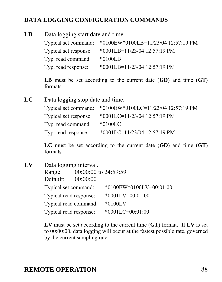#### **DATA LOGGING CONFIGURATION COMMANDS**

| Data logging start date and time.<br>LB |                       |                                                          |  |  |  |
|-----------------------------------------|-----------------------|----------------------------------------------------------|--|--|--|
|                                         |                       | Typical set command: *0100EW*0100LB=11/23/04 12:57:19 PM |  |  |  |
|                                         | Typical set response: | $*0001LB=11/23/0412:57:19 PM$                            |  |  |  |
|                                         | Typ. read command:    | $*0100LB$                                                |  |  |  |
|                                         | Typ. read response:   | *0001LB=11/23/04 12:57:19 PM                             |  |  |  |

**LB** must be set according to the current date (**GD**) and time (**GT**) formats.

**LC** Data logging stop date and time. Typical set command: \*0100EW\*0100LC=11/23/04 12:57:19 PM Typical set response: \*0001LC=11/23/04 12:57:19 PM Typ. read command: \*0100LC Typ. read response: \*0001LC=11/23/04 12:57:19 PM

> **LC** must be set according to the current date (**GD**) and time (**GT**) formats.

**LV** Data logging interval. Range: 00:00:00 to 24:59:59 Default: 00:00:00 Typical set command: \*0100EW\*0100LV=00:01:00 Typical read response: \*0001LV=00:01:00 Typical read command: \*0100LV Typical read response: \*0001LC=00:01:00

> **LV** must be set according to the current time (**GT**) format. If **LV** is set to 00:00:00, data logging will occur at the fastest possible rate, governed by the current sampling rate.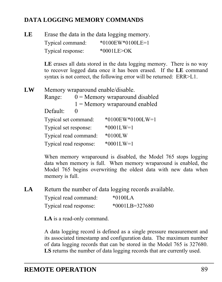#### **DATA LOGGING MEMORY COMMANDS**

| LE |                   | Erase the data in the data logging memory. |  |  |  |
|----|-------------------|--------------------------------------------|--|--|--|
|    | Typical command:  | $*0100$ EW $*0100$ LE=1                    |  |  |  |
|    | Typical response: | $*0001$ LE $>$ OK                          |  |  |  |

LE erases all data stored in the data logging memory. There is no way to recover logged data once it has been erased. If the **LE** command syntax is not correct, the following error will be returned: ERR>L1.

**LW** Memory wraparound enable/disable. Range:  $0 =$  Memory wraparound disabled 1 = Memory wraparound enabled Default: 0 Typical set command: \*0100EW\*0100LW=1 Typical set response: \*0001LW=1 Typical read command: \*0100LW Typical read response: \*0001LW=1

> When memory wraparound is disabled, the Model 765 stops logging data when memory is full. When memory wraparound is enabled, the Model 765 begins overwriting the oldest data with new data when memory is full.

LA Return the number of data logging records available.

| Typical read command:  | $*0100L$ A         |
|------------------------|--------------------|
| Typical read response: | $*0001LB = 327680$ |

**LA** is a read-only command.

A data logging record is defined as a single pressure measurement and its associated timestamp and configuration data. The maximum number of data logging records that can be stored in the Model 765 is 327680. **LS** returns the number of data logging records that are currently used.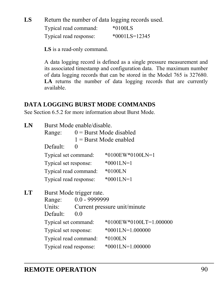LS Return the number of data logging records used.

| Typical read command:  | $*0100LS$       |
|------------------------|-----------------|
| Typical read response: | $*0001LS=12345$ |

**LS** is a read-only command.

A data logging record is defined as a single pressure measurement and its associated timestamp and configuration data. The maximum number of data logging records that can be stored in the Model 765 is 327680. LA returns the number of data logging records that are currently available.

#### **DATA LOGGING BURST MODE COMMANDS**

See Section [6.5.2](#page-31-1) for more information about Burst Mode.

| LN | Burst Mode enable/disable. |          |                                |  |  |  |
|----|----------------------------|----------|--------------------------------|--|--|--|
|    | Range:                     |          | $0 =$ Burst Mode disabled      |  |  |  |
|    |                            |          | $1 =$ Burst Mode enabled       |  |  |  |
|    | Default:                   | $\theta$ |                                |  |  |  |
|    | Typical set command:       |          | $*0100$ EW $*0100$ LN=1        |  |  |  |
|    | Typical set response:      |          | $*0001$ LN=1                   |  |  |  |
|    | Typical read command:      |          | $*0100LN$                      |  |  |  |
|    | Typical read response:     |          | $*0001LN=1$                    |  |  |  |
|    | Burst Mode trigger rate.   |          |                                |  |  |  |
| LT |                            |          |                                |  |  |  |
|    | Range:                     |          |                                |  |  |  |
|    | Units:                     |          | Current pressure unit/minute   |  |  |  |
|    | Default:                   | 0.0      |                                |  |  |  |
|    | Typical set command:       |          | $*0100$ EW $*0100$ LT=1.000000 |  |  |  |
|    | Typical set response:      |          | $*0001LN=1.000000$             |  |  |  |
|    | Typical read command:      |          | $*0100LN$                      |  |  |  |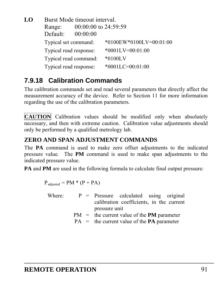**LO** Burst Mode timeout interval. Range: 00:00:00 to 24:59:59 Default: 00:00:00 Typical set command: \*0100EW\*0100LV=00:01:00 Typical read response: \*0001LV=00:01:00 Typical read command: \*0100LV Typical read response: \*0001LC=00:01:00

### <span id="page-90-0"></span>**7.9.18 Calibration Commands**

The calibration commands set and read several parameters that directly affect the measurement accuracy of the device. Refer to Section [11](#page-109-0) for more information regarding the use of the calibration parameters.

**CAUTION** Calibration values should be modified only when absolutely necessary, and then with extreme caution. Calibration value adjustments should only be performed by a qualified metrology lab.

#### **ZERO AND SPAN ADJUSTMENT COMMANDS**

The **PA** command is used to make zero offset adjustments to the indicated pressure value. The **PM** command is used to make span adjustments to the indicated pressure value.

**PA** and **PM** are used in the following formula to calculate final output pressure:

$$
P_{\text{adjusted}} = PM * (P + PA)
$$

- Where:  $P =$  Pressure calculated using original calibration coefficients, in the current pressure unit
	- PM = the current value of the **PM** parameter

PA = the current value of the **PA** parameter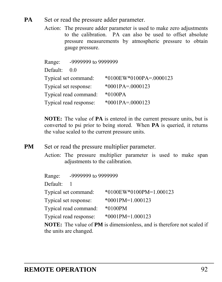- **PA** Set or read the pressure adder parameter.
	- Action: The pressure adder parameter is used to make zero adjustments to the calibration. PA can also be used to offset absolute pressure measurements by atmospheric pressure to obtain gauge pressure.

Range: -9999999 to 9999999

Default: 0.0

| Typical set command:   | *0100EW*0100PA=.0000123 |
|------------------------|-------------------------|
| Typical set response:  | $*0001PA = 0000123$     |
| Typical read command:  | $*0100PA$               |
| Typical read response: | $*0001PA = 0000123$     |

**NOTE:** The value of **PA** is entered in the current pressure units, but is converted to psi prior to being stored. When **PA** is queried, it returns the value scaled to the current pressure units.

- **PM** Set or read the pressure multiplier parameter.
	- Action: The pressure multiplier parameter is used to make span adjustments to the calibration.

| Range:                | -9999999 to 9999999    |                                |
|-----------------------|------------------------|--------------------------------|
| Default:              |                        |                                |
|                       | Typical set command:   | $*0100$ EW $*0100$ PM=1.000123 |
| Typical set response: |                        | *0001PM=1.000123               |
|                       | Typical read command:  | $*0100$ PM                     |
|                       | Typical read response: | *0001PM=1.000123               |
|                       |                        |                                |

**NOTE:** The value of **PM** is dimensionless, and is therefore not scaled if the units are changed.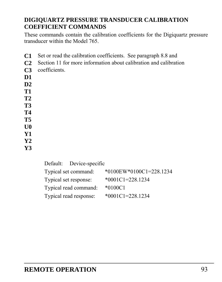#### **DIGIQUARTZ PRESSURE TRANSDUCER CALIBRATION COEFFICIENT COMMANDS**

These commands contain the calibration coefficients for the Digiquartz pressure transducer within the Model 765.

- **C1** Set or read the calibration coefficients. See paragraph [8.8](#page-104-0) and
- **C2** Section [11](#page-109-0) for more information about calibration and calibration
- **C3** coefficients.
- **D1**
- **D2**
- **T1**
- **T2**
- **T3**
- **T4**
- **T5**
- **U0**
- **Y1**
- **Y2**
- **Y3**
- Default: Device-specific

| Typical set command:   | *0100EW*0100C1=228.1234 |
|------------------------|-------------------------|
| Typical set response:  | $*0001C1 = 228.1234$    |
| Typical read command:  | $*0100C1$               |
| Typical read response: | $*0001C1 = 228.1234$    |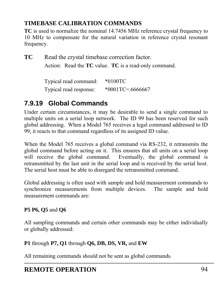### **TIMEBASE CALIBRATION COMMANDS**

**TC** is used to normalize the nominal 14.7456 MHz reference crystal frequency to 10 MHz to compensate for the natural variation in reference crystal resonant frequency.

**TC** Read the crystal timebase correction factor. Action: Read the **TC** value. **TC** is a read-only command.

| Typical read command:  | $*0100 \text{TC}$   |
|------------------------|---------------------|
| Typical read response: | $*0001$ TC=.6666667 |

### **7.9.19 Global Commands**

Under certain circumstances, it may be desirable to send a single command to multiple units on a serial loop network. The ID 99 has been reserved for such global addressing. When a Model 765 receives a legal command addressed to ID 99, it reacts to that command regardless of its assigned ID value.

When the Model 765 receives a global command via RS-232, it retransmits the global command before acting on it. This ensures that all units on a serial loop will receive the global command. Eventually, the global command is retransmitted by the last unit in the serial loop and is received by the serial host. The serial host must be able to disregard the retransmitted command.

Global addressing is often used with sample and hold measurement commands to synchronize measurements from multiple devices. The sample and hold measurement commands are:

#### **P5 P6, Q5** and **Q6**

All sampling commands and certain other commands may be either individually or globally addressed:

#### **P1** through **P7, Q1** through **Q6, DB, DS, VR,** and **EW**

All remaining commands should not be sent as global commands.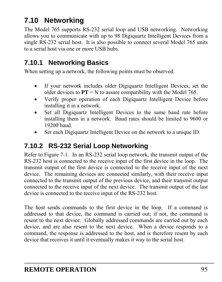# **7.10 Networking**

The Model 765 supports RS-232 serial loop and USB networking. Networking allows you to communicate with up to 98 Digiquartz Intelligent Devices from a single RS-232 serial host. It is also possible to connect several Model 765 units to a serial host via one or more USB hubs.

### **7.10.1 Networking Basics**

When setting up a network, the following points must be observed.

- If your network includes older Digiquartz Intelligent Devices, set the older devices to  $PT = N$  to assure compatibility with the Model 765.
- Verify proper operation of each Digiquartz Intelligent Device before installing it in a network.
- Set all Digiquartz Intelligent Devices to the same baud rate before installing them in a network. Baud rates should be limited to 9600 or 19200 baud.
- Set each Digiquartz Intelligent Device on the network to a unique ID.

# **7.10.2 RS-232 Serial Loop Networking**

Refer to [Figure 7-1.](#page-95-0) In an RS-232 serial loop network, the transmit output of the RS-232 host is connected to the receive input of the first device in the loop. The transmit output of the first device is connected to the receive input of the next device. The remaining devices are connected similarly, with their receive input connected to the transmit output of the previous device, and their transmit output connected to the receive input of the next device. The transmit output of the last device is connected to the receive input of the RS-232 host.

The host sends commands to the first device in the loop. If a command is addressed to that device, the command is carried out; if not, the command is resent to the next device. Globally addressed commands are carried out by each device, and are also resent to the next device. When a device responds to a command, the response is addressed to the host, and is therefore resent by each device that receives it until it eventually makes it way to the serial host.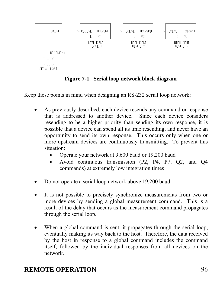

**Figure 7-1. Serial loop network block diagram** 

<span id="page-95-0"></span>Keep these points in mind when designing an RS-232 serial loop network:

- As previously described, each device resends any command or response that is addressed to another device. Since each device considers resending to be a higher priority than sending its own response, it is possible that a device can spend all its time resending, and never have an opportunity to send its own response. This occurs only when one or more upstream devices are continuously transmitting. To prevent this situation:
	- Operate your network at 9,600 baud or 19,200 baud
	- Avoid continuous transmission (P2, P4, P7, Q2, and Q4 commands) at extremely low integration times
- Do not operate a serial loop network above 19,200 baud.
- It is not possible to precisely synchronize measurements from two or more devices by sending a global measurement command. This is a result of the delay that occurs as the measurement command propagates through the serial loop.
- When a global command is sent, it propagates through the serial loop, eventually making its way back to the host. Therefore, the data received by the host in response to a global command includes the command itself, followed by the individual responses from all devices on the network.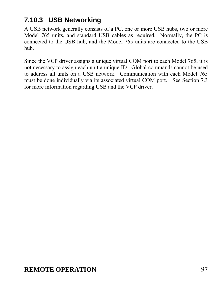### **7.10.3 USB Networking**

A USB network generally consists of a PC, one or more USB hubs, two or more Model 765 units, and standard USB cables as required. Normally, the PC is connected to the USB hub, and the Model 765 units are connected to the USB hub.

Since the VCP driver assigns a unique virtual COM port to each Model 765, it is not necessary to assign each unit a unique ID. Global commands cannot be used to address all units on a USB network. Communication with each Model 765 must be done individually via its associated virtual COM port. See Section [7.3](#page-36-0) for more information regarding USB and the VCP driver.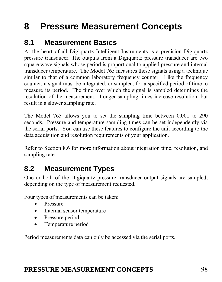# **8 Pressure Measurement Concepts**

### **8.1 Measurement Basics**

At the heart of all Digiquartz Intelligent Instruments is a precision Digiquartz pressure transducer. The outputs from a Digiquartz pressure transducer are two square wave signals whose period is proportional to applied pressure and internal transducer temperature. The Model 765 measures these signals using a technique similar to that of a common laboratory frequency counter. Like the frequency counter, a signal must be integrated, or sampled, for a specified period of time to measure its period. The time over which the signal is sampled determines the resolution of the measurement. Longer sampling times increase resolution, but result in a slower sampling rate.

The Model 765 allows you to set the sampling time between 0.001 to 290 seconds. Pressure and temperature sampling times can be set independently via the serial ports. You can use these features to configure the unit according to the data acquisition and resolution requirements of your application.

Refer to Section [8.6](#page-102-0) for more information about integration time, resolution, and sampling rate.

# **8.2 Measurement Types**

One or both of the Digiquartz pressure transducer output signals are sampled, depending on the type of measurement requested.

Four types of measurements can be taken:

- Pressure
- Internal sensor temperature
- Pressure period
- Temperature period

Period measurements data can only be accessed via the serial ports.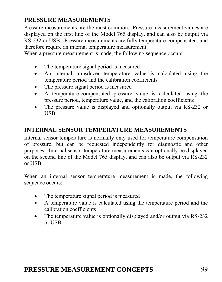#### **PRESSURE MEASUREMENTS**

Pressure measurements are the most common. Pressure measurement values are displayed on the first line of the Model 765 display, and can also be output via RS-232 or USB. Pressure measurements are fully temperature-compensated, and therefore require an internal temperature measurement.

When a pressure measurement is made, the following sequence occurs:

- The temperature signal period is measured
- An internal transducer temperature value is calculated using the temperature period and the calibration coefficients
- The pressure signal period is measured
- A temperature-compensated pressure value is calculated using the pressure period, temperature value, and the calibration coefficients
- The pressure value is displayed and optionally output via RS-232 or USB

#### **INTERNAL SENSOR TEMPERATURE MEASUREMENTS**

Internal sensor temperature is normally only used for temperature compensation of pressure, but can be requested independently for diagnostic and other purposes. Internal sensor temperature measurements can optionally be displayed on the second line of the Model 765 display, and can also be output via RS-232 or USB.

When an internal sensor temperature measurement is made, the following sequence occurs:

- The temperature signal period is measured
- A temperature value is calculated using the temperature period and the calibration coefficients
- The temperature value is optionally displayed and/or output via RS-232 or USB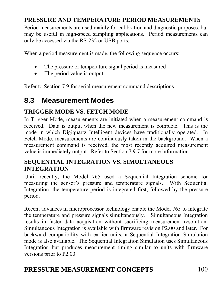#### <span id="page-99-1"></span>**PRESSURE AND TEMPERATURE PERIOD MEASUREMENTS**

Period measurements are used mainly for calibration and diagnostic purposes, but may be useful in high-speed sampling applications. Period measurements can only be accessed via the RS-232 or USB ports.

When a period measurement is made, the following sequence occurs:

- The pressure or temperature signal period is measured
- The period value is output

Refer to Section [7.9](#page-47-0) for serial measurement command descriptions.

### <span id="page-99-0"></span>**8.3 Measurement Modes**

### **TRIGGER MODE VS. FETCH MODE**

In Trigger Mode, measurements are initiated when a measurement command is received. Data is output when the new measurement is complete. This is the mode in which Digiquartz Intelligent devices have traditionally operated. In Fetch Mode, measurements are continuously taken in the background. When a measurement command is received, the most recently acquired measurement value is immediately output. Refer to Section [7.9.7](#page-67-0) for more information.

#### **SEQUENTIAL INTEGRATION VS. SIMULTANEOUS INTEGRATION**

Until recently, the Model 765 used a Sequential Integration scheme for measuring the sensor's pressure and temperature signals. With Sequential Integration, the temperature period is integrated first, followed by the pressure period.

Recent advances in microprocessor technology enable the Model 765 to integrate the temperature and pressure signals simultaneously. Simultaneous Integration results in faster data acquisition without sacrificing measurement resolution. Simultaneous Integration is available with firmware revision P2.00 and later. For backward compatibility with earlier units, a Sequential Integration Simulation mode is also available. The Sequential Integration Simulation uses Simultaneous Integration but produces measurement timing similar to units with firmware versions prior to P2.00.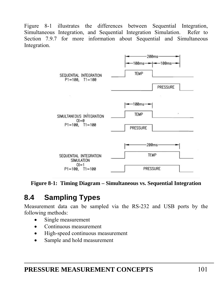[Figure 8-1 illustrates the differences between Sequential Integration,](#page-100-0)  [Simultaneous Integration, and Sequential Integration Simulation. Refer to](#page-100-0)  [Section](#page-100-0) 7.9.[7 for more information about Sequential and Simultaneous](#page-67-0)  [Integration.](#page-67-0) 



**Figure 8-1: Timing Diagram – Simultaneous vs. Sequential Integration** 

# <span id="page-100-0"></span>**8.4 Sampling Types**

Measurement data can be sampled via the RS-232 and USB ports by the following methods:

- Single measurement
- Continuous measurement
- High-speed continuous measurement
- Sample and hold measurement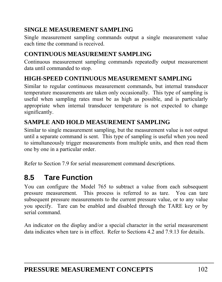### **SINGLE MEASUREMENT SAMPLING**

Single measurement sampling commands output a single measurement value each time the command is received.

### **CONTINUOUS MEASUREMENT SAMPLING**

Continuous measurement sampling commands repeatedly output measurement data until commanded to stop.

#### **HIGH-SPEED CONTINUOUS MEASUREMENT SAMPLING**

Similar to regular continuous measurement commands, but internal transducer temperature measurements are taken only occasionally. This type of sampling is useful when sampling rates must be as high as possible, and is particularly appropriate when internal transducer temperature is not expected to change significantly.

#### **SAMPLE AND HOLD MEASUREMENT SAMPLING**

Similar to single measurement sampling, but the measurement value is not output until a separate command is sent. This type of sampling is useful when you need to simultaneously trigger measurements from multiple units, and then read them one by one in a particular order.

Refer to Section [7.9](#page-47-0) for serial measurement command descriptions.

# **8.5 Tare Function**

You can configure the Model 765 to subtract a value from each subsequent pressure measurement. This process is referred to as tare. You can tare subsequent pressure measurements to the current pressure value, or to any value you specify. Tare can be enabled and disabled through the TARE key or by serial command.

An indicator on the display and/or a special character in the serial measurement data indicates when tare is in effect. Refer to Sections [4.2](#page-16-0) and [7.9.13](#page-75-0) for details.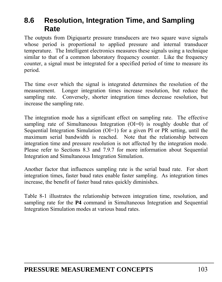### <span id="page-102-0"></span>**8.6 Resolution, Integration Time, and Sampling Rate**

The outputs from Digiquartz pressure transducers are two square wave signals whose period is proportional to applied pressure and internal transducer temperature. The Intelligent electronics measures these signals using a technique similar to that of a common laboratory frequency counter. Like the frequency counter, a signal must be integrated for a specified period of time to measure its period.

The time over which the signal is integrated determines the resolution of the measurement. Longer integration times increase resolution, but reduce the sampling rate. Conversely, shorter integration times decrease resolution, but increase the sampling rate.

The integration mode has a significant effect on sampling rate. The effective sampling rate of Simultaneous Integration (OI=0) is roughly double that of Sequential Integration Simulation ( $O-I$ ) for a given PI or PR setting, until the maximum serial bandwidth is reached. Note that the relationship between integration time and pressure resolution is not affected by the integration mode. Please refer to Sections [8.3](#page-99-0) and [7.9.7](#page-67-0) for more information about Sequential Integration and Simultaneous Integration Simulation.

Another factor that influences sampling rate is the serial baud rate. For short integration times, faster baud rates enable faster sampling. As integration times increase, the benefit of faster baud rates quickly diminishes.

[Table 8-1](#page-103-0) illustrates the relationship between integration time, resolution, and sampling rate for the **P4** command in Simultaneous Integration and Sequential Integration Simulation modes at various baud rates.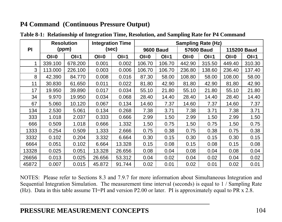### **P4 Command (Continuous Pressure Output)**

|       | <b>Resolution</b> |         | <b>Integration Time</b> |        | <b>Sampling Rate (Hz)</b> |        |                   |        |                    |        |
|-------|-------------------|---------|-------------------------|--------|---------------------------|--------|-------------------|--------|--------------------|--------|
| PI    | (ppm)             |         | (sec)                   |        | <b>9600 Baud</b>          |        | <b>57600 Baud</b> |        | <b>115200 Baud</b> |        |
|       | $O = 0$           | $Ol=1$  | $O = 0$                 | $Ol=1$ | $O = 0$                   | $Ol=1$ | $O = 0$           | $Ol=1$ | $O = 0$            | $Ol=1$ |
| 1     | 339.100           | 678.200 | 0.001                   | 0.002  | 106.70                    | 106.70 | 442.90            | 315.50 | 449.40             | 310.30 |
| 3     | 113.000           | 226.100 | 0.003                   | 0.006  | 106.70                    | 106.70 | 236.80            | 138.60 | 236.40             | 137.40 |
| 8     | 42.390            | 84.770  | 0.008                   | 0.016  | 87.30                     | 58.00  | 108.80            | 58.00  | 108.00             | 58.00  |
| 11    | 30.830            | 61.650  | 0.011                   | 0.022  | 81.80                     | 42.90  | 81.80             | 42.90  | 81.80              | 42.90  |
| 17    | 19.950            | 39.890  | 0.017                   | 0.034  | 55.10                     | 21.80  | 55.10             | 21.80  | 55.10              | 21.80  |
| 34    | 9.970             | 19.950  | 0.034                   | 0.068  | 28.40                     | 14.40  | 28.40             | 14.40  | 28.40              | 14.40  |
| 67    | 5.060             | 10.120  | 0.067                   | 0.134  | 14.60                     | 7.37   | 14.60             | 7.37   | 14.60              | 7.37   |
| 134   | 2.530             | 5.061   | 0.134                   | 0.268  | 7.38                      | 3.71   | 7.38              | 3.71   | 7.38               | 3.71   |
| 333   | 1.018             | 2.037   | 0.333                   | 0.666  | 2.99                      | 1.50   | 2.99              | 1.50   | 2.99               | 1.50   |
| 666   | 0.509             | 1.018   | 0.666                   | 1.332  | 1.50                      | 0.75   | 1.50              | 0.75   | 1.50               | 0.75   |
| 1333  | 0.254             | 0.509   | 1.333                   | 2.666  | 0.75                      | 0.38   | 0.75              | 0.38   | 0.75               | 0.38   |
| 3332  | 0.102             | 0.204   | 3.332                   | 6.664  | 0.30                      | 0.15   | 0.30              | 0.15   | 0.30               | 0.15   |
| 6664  | 0.051             | 0.102   | 6.664                   | 13.328 | 0.15                      | 0.08   | 0.15              | 0.08   | 0.15               | 0.08   |
| 13328 | 0.025             | 0.051   | 13.328                  | 26.656 | 0.08                      | 0.04   | 0.08              | 0.04   | 0.08               | 0.04   |
| 26656 | 0.013             | 0.025   | 26.656                  | 53.312 | 0.04                      | 0.02   | 0.04              | 0.02   | 0.04               | 0.02   |
| 45872 | 0.007             | 0.015   | 45.872                  | 91.744 | 0.02                      | 0.01   | 0.02              | 0.01   | 0.02               | 0.01   |

**Table 8-1: Relationship of Integration Time, Resolution, and Sampling Rate for P4 Command** 

<span id="page-103-0"></span>NOTES: Please refer to Sections [8.3](#page-99-1) and [7.9.7](#page-67-1) for more information about Simultaneous Integration and Sequential Integration Simulation. The measurement time interval (seconds) is equal to 1 / Sampling Rate (Hz). Data in this table assume TI=PI and version P2.00 or later. PI is approximately equal to PR x 2.8.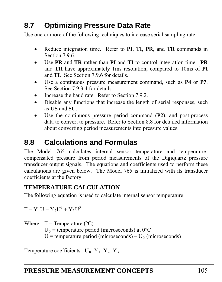# **8.7 Optimizing Pressure Data Rate**

Use one or more of the following techniques to increase serial sampling rate.

- Reduce integration time. Refer to **PI**, **TI**, **PR**, and **TR** commands in Section [7.9.6.](#page-64-0)
- Use **PR** and **TR** rather than **PI** and **TI** to control integration time. **PR** and **TR** have approximately 1ms resolution, compared to 10ms of **PI** and **TI**. See Section [7.9.6](#page-64-0) for details.
- Use a continuous pressure measurement command, such as **P4** or **P7**. See Section [7.9.3.4](#page-53-0) for details.
- Increase the baud rate. Refer to Section [7.9.2.](#page-47-1)
- Disable any functions that increase the length of serial responses, such as **US** and **SU**.
- Use the continuous pressure period command (**P2**), and post-process data to convert to pressure. Refer to Section [8.8](#page-104-0) for detailed information about converting period measurements into pressure values.

# <span id="page-104-0"></span>**8.8 Calculations and Formulas**

The Model 765 calculates internal sensor temperature and temperaturecompensated pressure from period measurements of the Digiquartz pressure transducer output signals. The equations and coefficients used to perform these calculations are given below. The Model 765 is initialized with its transducer coefficients at the factory.

#### **TEMPERATURE CALCULATION**

The following equation is used to calculate internal sensor temperature:

 $T = Y_1U + Y_2U^2 + Y_3U^3$ 

Where:  $T = Temperature (°C)$  $U_0$  = temperature period (microseconds) at  $0^{\circ}$ C  $U =$  temperature period (microseconds) –  $U_0$  (microseconds)

Temperature coefficients:  $U_0$  Y<sub>1</sub> Y<sub>2</sub> Y<sub>3</sub>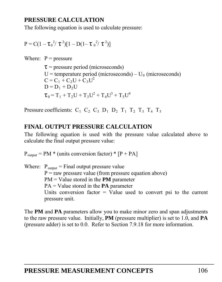#### **PRESSURE CALCULATION**

The following equation is used to calculate pressure:

$$
P = C(1 - \tau_0^2 / \tau^2)[1 - D(1 - \tau_0^2 / \tau^2)]
$$

Where:  $P = pressure$ 

 $\tau$  = pressure period (microseconds)  $U =$  temperature period (microseconds) –  $U_0$  (microseconds)  $C = C_1 + C_2U + C_3U^2$  $D = D_1 + D_2U$  $\tau_0 = T_1 + T_2 U + T_3 U^2 + T_4 U^3 + T_5 U^4$ 

Pressure coefficients:  $C_1$   $C_2$   $C_3$   $D_1$   $D_2$   $T_1$   $T_2$   $T_3$   $T_4$   $T_5$ 

#### **FINAL OUTPUT PRESSURE CALCULATION**

The following equation is used with the pressure value calculated above to calculate the final output pressure value:

 $P_{\text{output}} = PM *$  (units conversion factor) \*  $[P + PA]$ 

Where:  $P_{\text{output}} =$  Final output pressure value  $P = raw pressure value (from pressure equation above)$ PM = Value stored in the **PM** parameter PA = Value stored in the **PA** parameter Units conversion factor  $=$  Value used to convert psi to the current pressure unit.

The **PM** and **PA** parameters allow you to make minor zero and span adjustments to the raw pressure value. Initially, **PM** (pressure multiplier) is set to 1.0, and **PA** (pressure adder) is set to 0.0. Refer to Section [7.9.18](#page-90-0) for more information.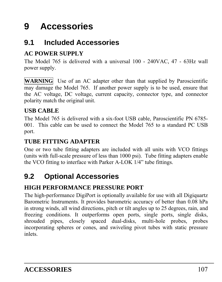# **9 Accessories**

# **9.1 Included Accessories**

### **AC POWER SUPPLY**

The Model 765 is delivered with a universal 100 - 240VAC, 47 - 63Hz wall power supply.

WARNING Use of an AC adapter other than that supplied by Paroscientific may damage the Model 765. If another power supply is to be used, ensure that the AC voltage, DC voltage, current capacity, connector type, and connector polarity match the original unit.

#### **USB CABLE**

The Model 765 is delivered with a six-foot USB cable, Paroscientific PN 6785- 001. This cable can be used to connect the Model 765 to a standard PC USB port.

#### **TUBE FITTING ADAPTER**

One or two tube fitting adapters are included with all units with VCO fittings (units with full-scale pressure of less than 1000 psi). Tube fitting adapters enable the VCO fitting to interface with Parker A-LOK 1/4" tube fittings.

# **9.2 Optional Accessories**

#### **HIGH PERFORMANCE PRESSURE PORT**

The high-performance DigiPort is optionally available for use with all Digiquartz Barometric Instruments. It provides barometric accuracy of better than 0.08 hPa in strong winds, all wind directions, pitch or tilt angles up to 25 degrees, rain, and freezing conditions. It outperforms open ports, single ports, single disks, shrouded pipes, closely spaced dual-disks, multi-hole probes, probes incorporating spheres or cones, and swiveling pivot tubes with static pressure inlets.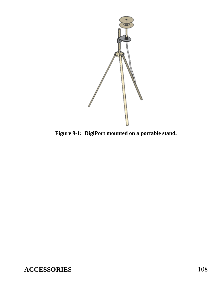

**Figure 9-1: DigiPort mounted on a portable stand.**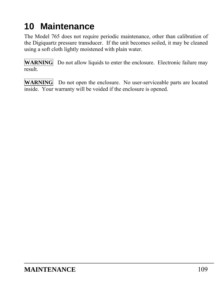# **10 Maintenance**

The Model 765 does not require periodic maintenance, other than calibration of the Digiquartz pressure transducer. If the unit becomes soiled, it may be cleaned using a soft cloth lightly moistened with plain water.

**WARNING** Do not allow liquids to enter the enclosure. Electronic failure may result.

WARNING Do not open the enclosure. No user-serviceable parts are located inside. Your warranty will be voided if the enclosure is opened.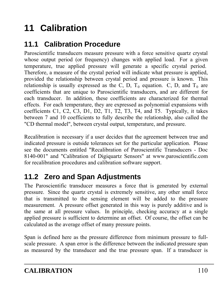# **11 Calibration**

## **11.1 Calibration Procedure**

Paroscientific transducers measure pressure with a force sensitive quartz crystal whose output period (or frequency) changes with applied load. For a given temperature, true applied pressure will generate a specific crystal period. Therefore, a measure of the crystal period will indicate what pressure is applied, provided the relationship between crystal period and pressure is known. This relationship is usually expressed as the C, D,  $T_0$  equation. C, D, and  $T_0$  are coefficients that are unique to Paroscientific transducers, and are different for each transducer. In addition, these coefficients are characterized for thermal effects. For each temperature, they are expressed as polynomial expansions with coefficients C1, C2, C3, D1, D2, T1, T2, T3, T4, and T5. Typically, it takes between 7 and 10 coefficients to fully describe the relationship, also called the "CD thermal model", between crystal output, temperature, and pressure.

Recalibration is necessary if a user decides that the agreement between true and indicated pressure is outside tolerances set for the particular application. Please see the documents entitled "[Recalibration of Paroscientific Transducers - Doc](http://www.paroscientific.com/pdf/recaldoc.pdf)  [8140-001"](http://www.paroscientific.com/pdf/recaldoc.pdf) and "[Calibration of Digiquartz Sensors"](http://www.paroscientific.com/pdf/calibration.pdf) at www.paroscientific.com for recalibration procedures and calibration software support.

## **11.2 Zero and Span Adjustments**

The Paroscientific transducer measures a force that is generated by external pressure. Since the quartz crystal is extremely sensitive, any other small force that is transmitted to the sensing element will be added to the pressure measurement. A pressure offset generated in this way is purely additive and is the same at all pressure values. In principle, checking accuracy at a single applied pressure is sufficient to determine an offset. Of course, the offset can be calculated as the average offset of many pressure points.

Span is defined here as the pressure difference from minimum pressure to fullscale pressure. A span error is the difference between the indicated pressure span as measured by the transducer and the true pressure span. If a transducer is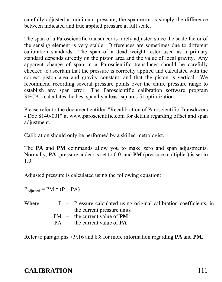carefully adjusted at minimum pressure, the span error is simply the difference between indicated and true applied pressure at full scale.

The span of a Paroscientific transducer is rarely adjusted since the scale factor of the sensing element is very stable. Differences are sometimes due to different calibration standards. The span of a dead weight tester used as a primary standard depends directly on the piston area and the value of local gravity. Any apparent change of span in a Paroscientific transducer should be carefully checked to ascertain that the pressure is correctly applied and calculated with the correct piston area and gravity constant, and that the piston is vertical. We recommend recording several pressure points over the entire pressure range to establish any span error. The Paroscientific calibration software program RECAL calculates the best span by a least-squares fit optimization.

Please refer to the document entitled "[Recalibration of Paroscientific Transducers](http://www.paroscientific.com/pdf/recaldoc.pdf)  [- Doc 8140-001](http://www.paroscientific.com/pdf/recaldoc.pdf)" at www.paroscientific.com for details regarding offset and span adjustment.

Calibration should only be performed by a skilled metrologist.

The **PA** and **PM** commands allow you to make zero and span adjustments. Normally, **PA** (pressure adder) is set to 0.0, and **PM** (pressure multiplier) is set to 1.0.

Adjusted pressure is calculated using the following equation:

 $P_{\text{adiusted}} = PM * (P + PA)$ 

| Where: |  | $P =$ Pressure calculated using original calibration coefficients, in |
|--------|--|-----------------------------------------------------------------------|
|        |  | the current pressure units                                            |
|        |  | $PM =$ the current value of <b>PM</b>                                 |
|        |  | $PA =$ the current value of $PA$                                      |
|        |  |                                                                       |

Refer to paragraphs [7.9.16](#page-84-0) and [8.8](#page-104-0) for more information regarding **PA** and **PM**.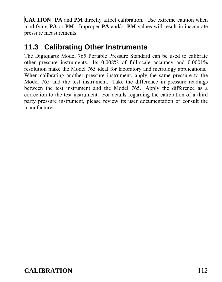**CAUTION PA** and **PM** directly affect calibration. Use extreme caution when modifying **PA** or **PM**. Improper **PA** and/or **PM** values will result in inaccurate pressure measurements.

## **11.3 Calibrating Other Instruments**

The Digiquartz Model 765 Portable Pressure Standard can be used to calibrate other pressure instruments. Its 0.008% of full-scale accuracy and 0.0001% resolution make the Model 765 ideal for laboratory and metrology applications. When calibrating another pressure instrument, apply the same pressure to the Model 765 and the test instrument. Take the difference in pressure readings between the test instrument and the Model 765. Apply the difference as a correction to the test instrument. For details regarding the calibration of a third party pressure instrument, please review its user documentation or consult the manufacturer.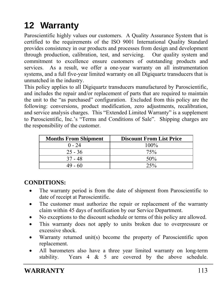# **12 Warranty**

Paroscientific highly values our customers. A Quality Assurance System that is certified to the requirements of the [ISO 9001 International Quality Standard](http://www.paroscientific.com/iso9001.htm) provides consistency in our products and processes from design and development through production, calibration, test, and servicing. Our quality system and commitment to excellence ensure customers of outstanding products and services. As a result, we offer a one-year warranty on all instrumentation systems, and a full five-year limited warranty on all Digiquartz transducers that is unmatched in the industry.

This policy applies to all Digiquartz transducers manufactured by Paroscientific, and includes the repair and/or replacement of parts that are required to maintain the unit to the "as purchased" configuration. Excluded from this policy are the following: conversions, product modification, zero adjustments, recalibration, and service analysis charges. This "Extended Limited Warranty" is a supplement to Paroscientific, Inc.'s "Terms and Conditions of Sale". Shipping charges are the responsibility of the customer.

| <b>Months From Shipment</b> | <b>Discount From List Price</b> |
|-----------------------------|---------------------------------|
| $0 - 24$                    | $100\%$                         |
| $25 - 36$                   | 75%                             |
| $37 - 48$                   | 50%                             |
| $49 - 60$                   | 25%                             |

### **CONDITIONS:**

- The warranty period is from the date of shipment from Paroscientific to date of receipt at Paroscientific.
- The customer must authorize the repair or replacement of the warranty claim within 45 days of notification by our Service Department.
- No exceptions to the discount schedule or terms of this policy are allowed.
- This warranty does not apply to units broken due to overpressure or excessive shock.
- Warranty returned unit(s) become the property of Paroscientific upon replacement.
- All barometers also have a three year limited warranty on long-term stability. Years 4 & 5 are covered by the above schedule.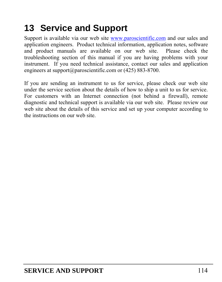# **13 Service and Support**

Support is available via our web site [www.paroscientific.com](http://www.paroscientific.com/) and our sales and application engineers. Product technical information, application notes, software and product manuals are available on our web site. Please check the troubleshooting section of this manual if you are having problems with your instrument. If you need technical assistance, contact our sales and application engineers at support@paroscientific.com or (425) 883-8700.

If you are sending an instrument to us for service, please check our web site under the service section about the details of how to ship a unit to us for service. For customers with an Internet connection (not behind a firewall), remote diagnostic and technical support is available via our web site. Please review our web site about the details of this service and set up your computer according to the instructions on our web site.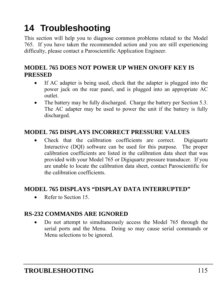# **14 Troubleshooting**

This section will help you to diagnose common problems related to the Model 765. If you have taken the recommended action and you are still experiencing difficulty, please contact a Paroscientific Application Engineer.

### **MODEL 765 DOES NOT POWER UP WHEN ON/OFF KEY IS PRESSED**

- If AC adapter is being used, check that the adapter is plugged into the power jack on the rear panel, and is plugged into an appropriate AC outlet.
- The battery may be fully discharged. Charge the battery per Section [5.3](#page-22-0). The AC adapter may be used to power the unit if the battery is fully discharged.

### **MODEL 765 DISPLAYS INCORRECT PRESSURE VALUES**

 Check that the calibration coefficients are correct. Digiquartz Interactive (DQI) software can be used for this purpose. The proper calibration coefficients are listed in the calibration data sheet that was provided with your Model 765 or Digiquartz pressure transducer. If you are unable to locate the calibration data sheet, contact Paroscientific for the calibration coefficients.

### **MODEL 765 DISPLAYS "DISPLAY DATA INTERRUPTED"**

Refer to Section [15.](#page-116-0)

### **RS-232 COMMANDS ARE IGNORED**

 Do not attempt to simultaneously access the Model 765 through the serial ports and the Menu. Doing so may cause serial commands or Menu selections to be ignored.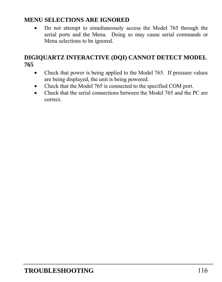#### **MENU SELECTIONS ARE IGNORED**

 Do not attempt to simultaneously access the Model 765 through the serial ports and the Menu. Doing so may cause serial commands or Menu selections to be ignored.

#### **DIGIQUARTZ INTERACTIVE (DQI) CANNOT DETECT MODEL 765**

- Check that power is being applied to the Model 765. If pressure values are being displayed, the unit is being powered.
- Check that the Model 765 is connected to the specified COM port.
- Check that the serial connections between the Model 765 and the PC are correct.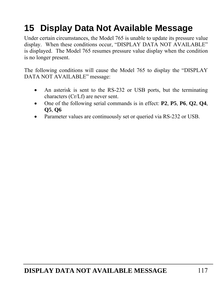# <span id="page-116-0"></span>**15 Display Data Not Available Message**

Under certain circumstances, the Model 765 is unable to update its pressure value display. When these conditions occur, "DISPLAY DATA NOT AVAILABLE" is displayed. The Model 765 resumes pressure value display when the condition is no longer present.

The following conditions will cause the Model 765 to display the "DISPLAY DATA NOT AVAILABLE" message:

- An asterisk is sent to the RS-232 or USB ports, but the terminating characters (Cr/Lf) are never sent.
- One of the following serial commands is in effect: **P2**, **P5**, **P6**, **Q2**, **Q4**, **Q5**, **Q6**
- Parameter values are continuously set or queried via RS-232 or USB.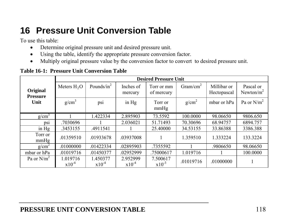# **16 Pressure Unit Conversion Table**

To use this table:

- $\bullet$ Determine original pressure unit and desired pressure unit.
- $\bullet$ Using the table, identify the appropriate pressure conversion factor.
- $\bullet$ Multiply original pressure value by the conversion factor to convert to desired pressure unit.

#### **Table 16-1: Pressure Unit Conversion Table**

|                             | <b>Desired Pressure Unit</b> |                        |                        |                          |                      |                            |                            |  |
|-----------------------------|------------------------------|------------------------|------------------------|--------------------------|----------------------|----------------------------|----------------------------|--|
| Original<br><b>Pressure</b> | Meters $H2O$                 | Pounds/ $in^2$         | Inches of<br>mercury   | Torr or mm<br>of mercury | Gram/cm <sup>2</sup> | Millibar or<br>Hectopascal | Pascal or<br>Newton/ $m^2$ |  |
| Unit                        | $g/cm^3$                     | ps1                    | in $Hg$                | Torr or<br>mmHg          | g/cm <sup>2</sup>    | mbar or hPa                | Pa or $N/m^2$              |  |
| g/cm <sup>3</sup>           |                              | 1.422334               | 2.895903               | 73.5592                  | 100.0000             | 98.06650                   | 9806.650                   |  |
| DS1                         | .7030696                     |                        | 2.036021               | 51.71493                 | 70.30696             | 68.94757                   | 6894.757                   |  |
| in $Hg$                     | .3453155                     | .4911541               |                        | 25.40000                 | 34.53155             | 33.86388                   | 3386.388                   |  |
| Torr or<br>mmHg             | .01359510                    | .01933678              | .03937008              | 1                        | 1.359510             | 1.333224                   | 133.3224                   |  |
| $g/cm^2$                    | .01000000                    | .01422334              | .02895903              | .7355592                 |                      | .9806650                   | 98.06650                   |  |
| mbar or hPa                 | .01019716                    | .01450377              | .02952999              | .75000617                | 1.019716             |                            | 100.0000                   |  |
| Pa or $N/m^2$               | 1.019716<br>$x10^{-4}$       | 1.450377<br>$x10^{-4}$ | 2.952999<br>$x10^{-4}$ | 7.500617<br>$x10^{-3}$   | .01019716            | .01000000                  |                            |  |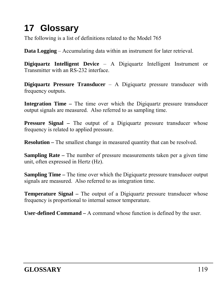# **17 Glossary**

The following is a list of definitions related to the Model 765

**Data Logging** – Accumulating data within an instrument for later retrieval.

**Digiquartz Intelligent Device** – A Digiquartz Intelligent Instrument or Transmitter with an RS-232 interface.

**Digiquartz Pressure Transducer** – A Digiquartz pressure transducer with frequency outputs.

**Integration Time –** The time over which the Digiquartz pressure transducer output signals are measured. Also referred to as sampling time.

**Pressure Signal –** The output of a Digiquartz pressure transducer whose frequency is related to applied pressure.

**Resolution** – The smallest change in measured quantity that can be resolved.

**Sampling Rate –** The number of pressure measurements taken per a given time unit, often expressed in Hertz (Hz).

**Sampling Time –** The time over which the Digiquartz pressure transducer output signals are measured. Also referred to as integration time.

**Temperature Signal –** The output of a Digiquartz pressure transducer whose frequency is proportional to internal sensor temperature.

**User-defined Command –** A command whose function is defined by the user.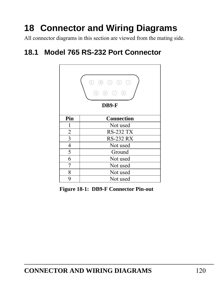# **18 Connector and Wiring Diagrams**

All connector diagrams in this section are viewed from the mating side.

## **18.1 Model 765 RS-232 Port Connector**



**Figure 18-1: DB9-F Connector Pin-out**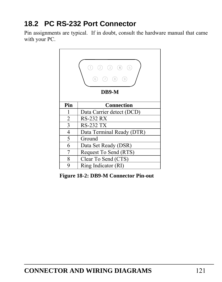## **18.2 PC RS-232 Port Connector**

Pin assignments are typical. If in doubt, consult the hardware manual that came with your PC.



**Figure 18-2: DB9-M Connector Pin-out**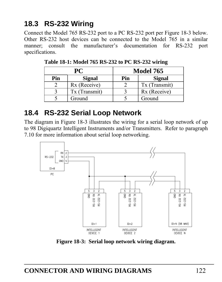## **18.3 RS-232 Wiring**

Connect the Model 765 RS-232 port to a PC RS-232 port per [Figure 18-3](#page-121-0) below. Other RS-232 host devices can be connected to the Model 765 in a similar manner; consult the manufacturer's documentation for RS-232 port specifications.

|     | PC            | <b>Model 765</b> |               |  |
|-----|---------------|------------------|---------------|--|
| Pin | <b>Signal</b> | Pin              | <b>Signal</b> |  |
|     | Rx (Receive)  |                  | Tx (Transmit) |  |
|     | Tx (Transmit) |                  | Rx (Receive)  |  |
|     | Ground        |                  | Ground        |  |

 **Table 18-1: Model 765 RS-232 to PC RS-232 wiring** 

## **18.4 RS-232 Serial Loop Network**

The diagram in [Figure 18-3](#page-121-0) illustrates the wiring for a serial loop network of up to 98 Digiquartz Intelligent Instruments and/or Transmitters. Refer to paragraph [7.10](#page-94-0) for more information about serial loop networking.



<span id="page-121-0"></span>**Figure 18-3: Serial loop network wiring diagram.**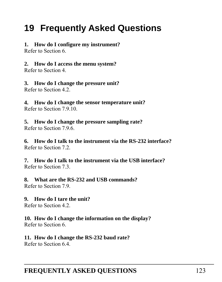## **19 Frequently Asked Questions**

#### **1. How do I configure my instrument?**

Refer to Section [6.](#page-24-0)

**2. How do I access the menu system?** 

Refer to Section [4.](#page-16-0)

**3. How do I change the pressure unit?** 

Refer to Section [4.2](#page-16-1).

**4. How do I change the sensor temperature unit?**  Refer to Section [7.9.10.](#page-71-0)

**5. How do I change the pressure sampling rate?**  Refer to Section [7.9.6.](#page-64-0)

**6. How do I talk to the instrument via the RS-232 interface?**  Refer to Section [7.2](#page-35-0).

**7. How do I talk to the instrument via the USB interface?**  Refer to Section [7.3](#page-36-0).

**8. What are the RS-232 and USB commands?**  Refer to Section [7.9](#page-47-0).

**9. How do I tare the unit?** 

Refer to Section [4.2](#page-16-1).

**10. How do I change the information on the display?**  Refer to Section [6.](#page-24-0)

**11. How do I change the RS-232 baud rate?**  Refer to Section [6.4](#page-28-0).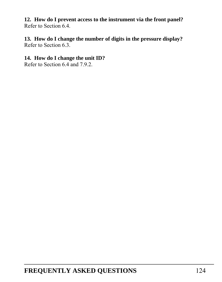**12. How do I prevent access to the instrument via the front panel?**  Refer to Section [6.4](#page-28-0).

**13. How do I change the number of digits in the pressure display?**  Refer to Section [6.3](#page-27-0).

#### **14. How do I change the unit ID?**

Refer to Section [6.4](#page-28-0) and [7.9.2.](#page-47-1)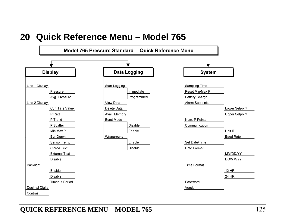## **20 Quick Reference Menu – Model 765**

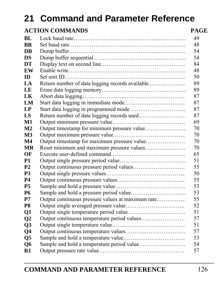# **21 Command and Parameter Reference**

#### **ACTION COMMANDS PAGE**

| BL.            |                                                   | 49 |
|----------------|---------------------------------------------------|----|
| <b>BR</b>      |                                                   | 48 |
| DB             |                                                   | 54 |
| <b>DS</b>      |                                                   | 54 |
| <b>DT</b>      |                                                   | 84 |
| EW             |                                                   | 48 |
| ID             |                                                   | 50 |
| LA             | Return number of data logging records available   | 89 |
| LE             |                                                   | 89 |
| LK             |                                                   | 87 |
| LM             |                                                   | 87 |
| LP             |                                                   | 87 |
| LS             |                                                   | 87 |
| $\bf M1$       |                                                   | 69 |
| $\mathbf{M2}$  | Output timestamp for minimum pressure value       | 70 |
| M <sub>3</sub> |                                                   | 70 |
| $\mathbf{M}4$  |                                                   | 70 |
| <b>MR</b>      |                                                   | 70 |
| OF             |                                                   | 65 |
| <b>P1</b>      |                                                   | 51 |
| <b>P2</b>      |                                                   | 55 |
| <b>P3</b>      |                                                   | 50 |
| <b>P4</b>      |                                                   | 55 |
| <b>P5</b>      |                                                   | 53 |
| <b>P6</b>      |                                                   | 53 |
| P7             | Output continuous pressure values at maximum rate | 55 |
| P8             |                                                   | 52 |
| Q1             |                                                   | 51 |
| Q <sub>2</sub> |                                                   | 57 |
| Q <sub>3</sub> |                                                   | 51 |
| Q <sub>4</sub> |                                                   | 57 |
| Q <sub>5</sub> |                                                   | 53 |
| Q6             |                                                   | 54 |
| R1             |                                                   | 57 |
|                |                                                   |    |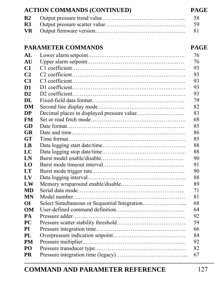| vк             |                           | 81          |
|----------------|---------------------------|-------------|
|                | <b>PARAMETER COMMANDS</b> | <b>PAGE</b> |
| AI.            |                           | 76          |
| <b>AU</b>      |                           | 76          |
| C1             |                           | 93          |
| C <sub>2</sub> |                           | 93          |
| C <sub>3</sub> |                           | 93          |
| D1             |                           | 93          |
| D2             |                           | 93          |
| DL             |                           | 79          |
| DM             |                           | 82          |
| DP             |                           | 83          |
| FM             |                           | 68          |
| GD             |                           | 85          |
| <b>GR</b>      |                           | 86          |
| <b>GT</b>      |                           | 85          |
| LB             |                           | 88          |
| LC             |                           | 88          |
| LN             |                           | 90          |
| LO             |                           | 91          |
| LT             |                           | 90          |
| LV             |                           | 88          |
| LW             |                           | 89          |
| MD             |                           | 71          |
| <b>MN</b>      |                           | 81          |
| $\overline{O}$ |                           | 68          |
| OM             |                           | 64          |
| PA             |                           | 92          |
| PC             |                           | 59          |
| PI             |                           | 66          |
| PL             |                           | 84          |
| PM             |                           | 92          |
| PO             |                           | 82          |
| PR             |                           | 67          |

## **ACTION COMMANDS (CONTINUED) PAGE**

|  | -58 |
|--|-----|
|  |     |
|  |     |

## **COMMAND AND PARAMETER REFERENCE** 127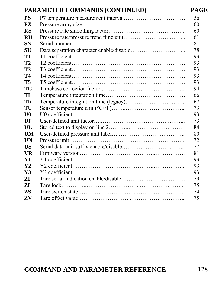#### **PARAMETER COMMANDS (CONTINUED) PAGE**

| PS        | 56 |
|-----------|----|
| PХ        | 60 |
| RS        | 60 |
| <b>RU</b> | 61 |
| SN        | 81 |
| SU        | 78 |
| Т1        | 93 |
| Т2        | 93 |
| <b>T3</b> | 93 |
| Т4        | 93 |
| <b>T5</b> | 93 |
| ТC        | 94 |
| TT        | 66 |
| TR        | 67 |
| TU        | 73 |
| U0        | 93 |
| UF        | 73 |
| UL        | 84 |
| UM        | 80 |
| UN        | 72 |
| US        | 77 |
| VR        | 81 |
| Y1        | 93 |
| Y2        | 93 |
| Y3        | 93 |
| 7T        | 79 |
| ZL        | 75 |
| ZS        | 74 |
| ZV        | 75 |